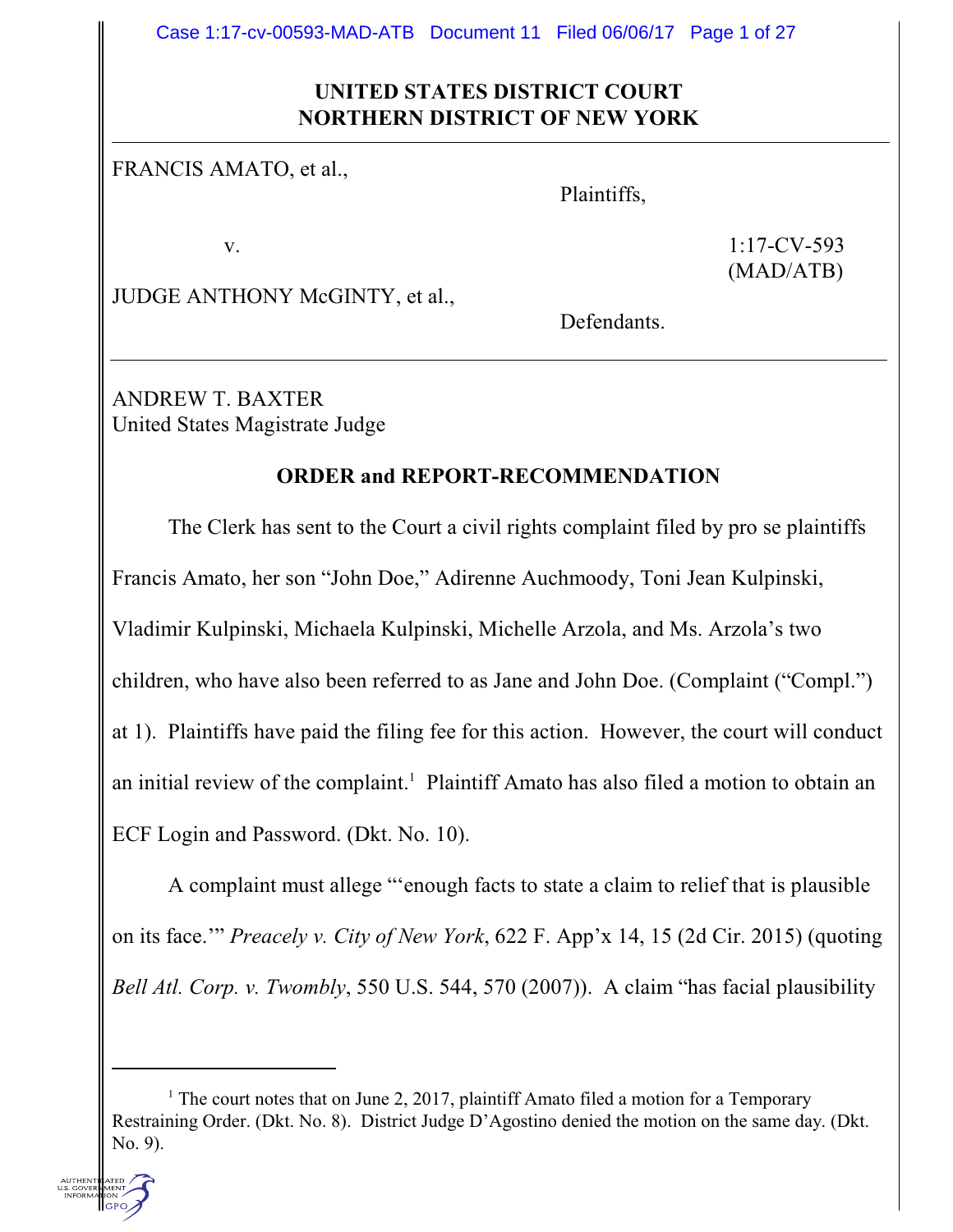Case 1:17-cv-00593-MAD-ATB Document 11 Filed 06/06/17 Page 1 of 27

## **UNITED STATES DISTRICT COURT NORTHERN DISTRICT OF NEW YORK**

FRANCIS AMATO, et al.,

Plaintiffs,

v. 1:17-CV-593 (MAD/ATB)

JUDGE ANTHONY McGINTY, et al.,

Defendants.

ANDREW T. BAXTER United States Magistrate Judge

#### **ORDER and REPORT-RECOMMENDATION**

The Clerk has sent to the Court a civil rights complaint filed by pro se plaintiffs Francis Amato, her son "John Doe," Adirenne Auchmoody, Toni Jean Kulpinski, Vladimir Kulpinski, Michaela Kulpinski, Michelle Arzola, and Ms. Arzola's two children, who have also been referred to as Jane and John Doe. (Complaint ("Compl.") at 1). Plaintiffs have paid the filing fee for this action. However, the court will conduct an initial review of the complaint. 1 Plaintiff Amato has also filed a motion to obtain an ECF Login and Password. (Dkt. No. 10).

A complaint must allege "'enough facts to state a claim to relief that is plausible on its face.'" *Preacely v. City of New York*, 622 F. App'x 14, 15 (2d Cir. 2015) (quoting *Bell Atl. Corp. v. Twombly*, 550 U.S. 544, 570 (2007)). A claim "has facial plausibility

<sup>&</sup>lt;sup>1</sup> The court notes that on June 2, 2017, plaintiff Amato filed a motion for a Temporary Restraining Order. (Dkt. No. 8). District Judge D'Agostino denied the motion on the same day. (Dkt. No. 9).

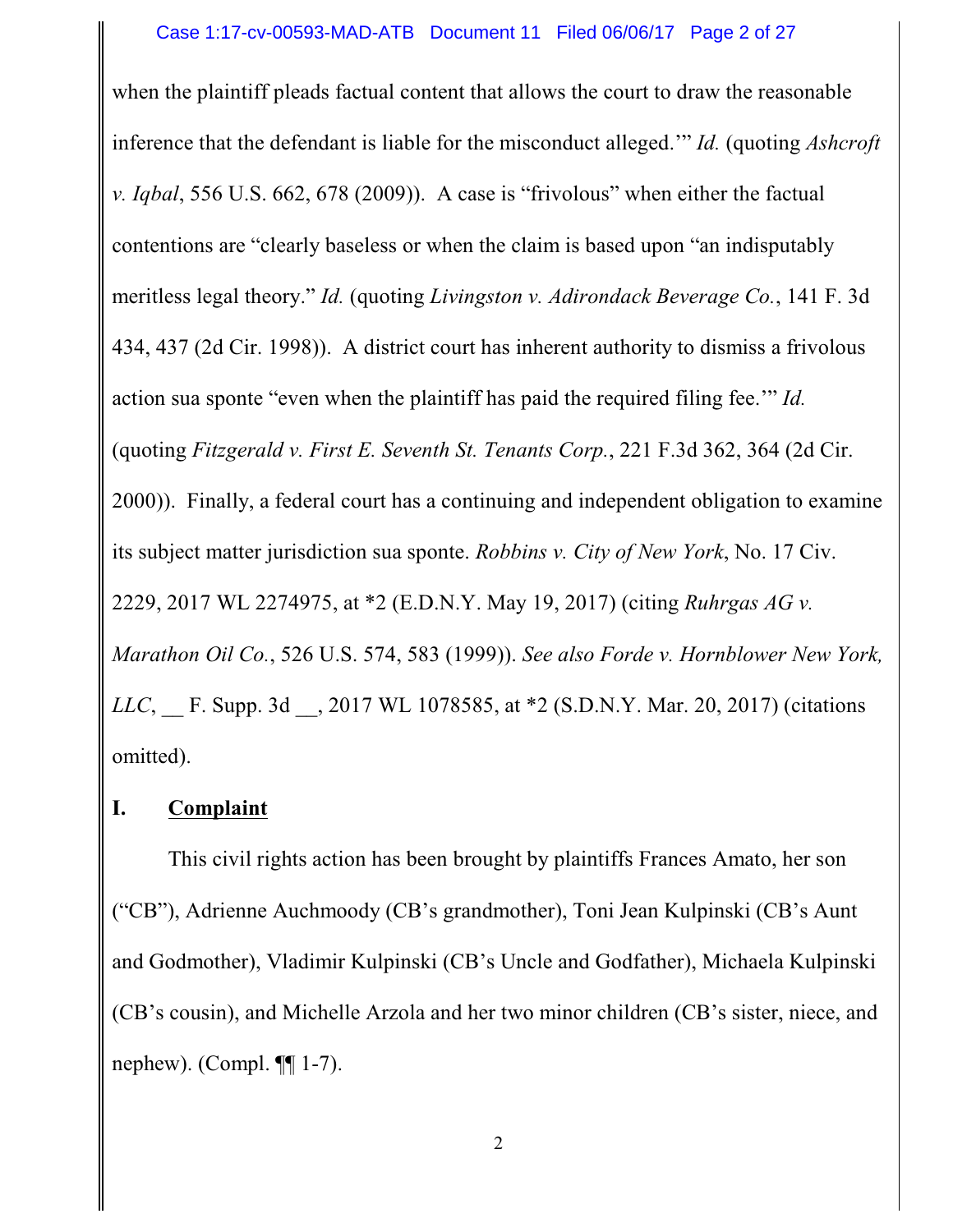when the plaintiff pleads factual content that allows the court to draw the reasonable inference that the defendant is liable for the misconduct alleged.'" *Id.* (quoting *Ashcroft v. Iqbal*, 556 U.S. 662, 678 (2009)). A case is "frivolous" when either the factual contentions are "clearly baseless or when the claim is based upon "an indisputably meritless legal theory." *Id.* (quoting *Livingston v. Adirondack Beverage Co.*, 141 F. 3d 434, 437 (2d Cir. 1998)). A district court has inherent authority to dismiss a frivolous action sua sponte "even when the plaintiff has paid the required filing fee.'" *Id.* (quoting *Fitzgerald v. First E. Seventh St. Tenants Corp.*, 221 F.3d 362, 364 (2d Cir. 2000)). Finally, a federal court has a continuing and independent obligation to examine its subject matter jurisdiction sua sponte. *Robbins v. City of New York*, No. 17 Civ. 2229, 2017 WL 2274975, at \*2 (E.D.N.Y. May 19, 2017) (citing *Ruhrgas AG v. Marathon Oil Co.*, 526 U.S. 574, 583 (1999)). *See also Forde v. Hornblower New York, LLC*, F. Supp. 3d , 2017 WL 1078585, at \*2 (S.D.N.Y. Mar. 20, 2017) (citations omitted).

## **I. Complaint**

This civil rights action has been brought by plaintiffs Frances Amato, her son ("CB"), Adrienne Auchmoody (CB's grandmother), Toni Jean Kulpinski (CB's Aunt and Godmother), Vladimir Kulpinski (CB's Uncle and Godfather), Michaela Kulpinski (CB's cousin), and Michelle Arzola and her two minor children (CB's sister, niece, and nephew). (Compl. ¶¶ 1-7).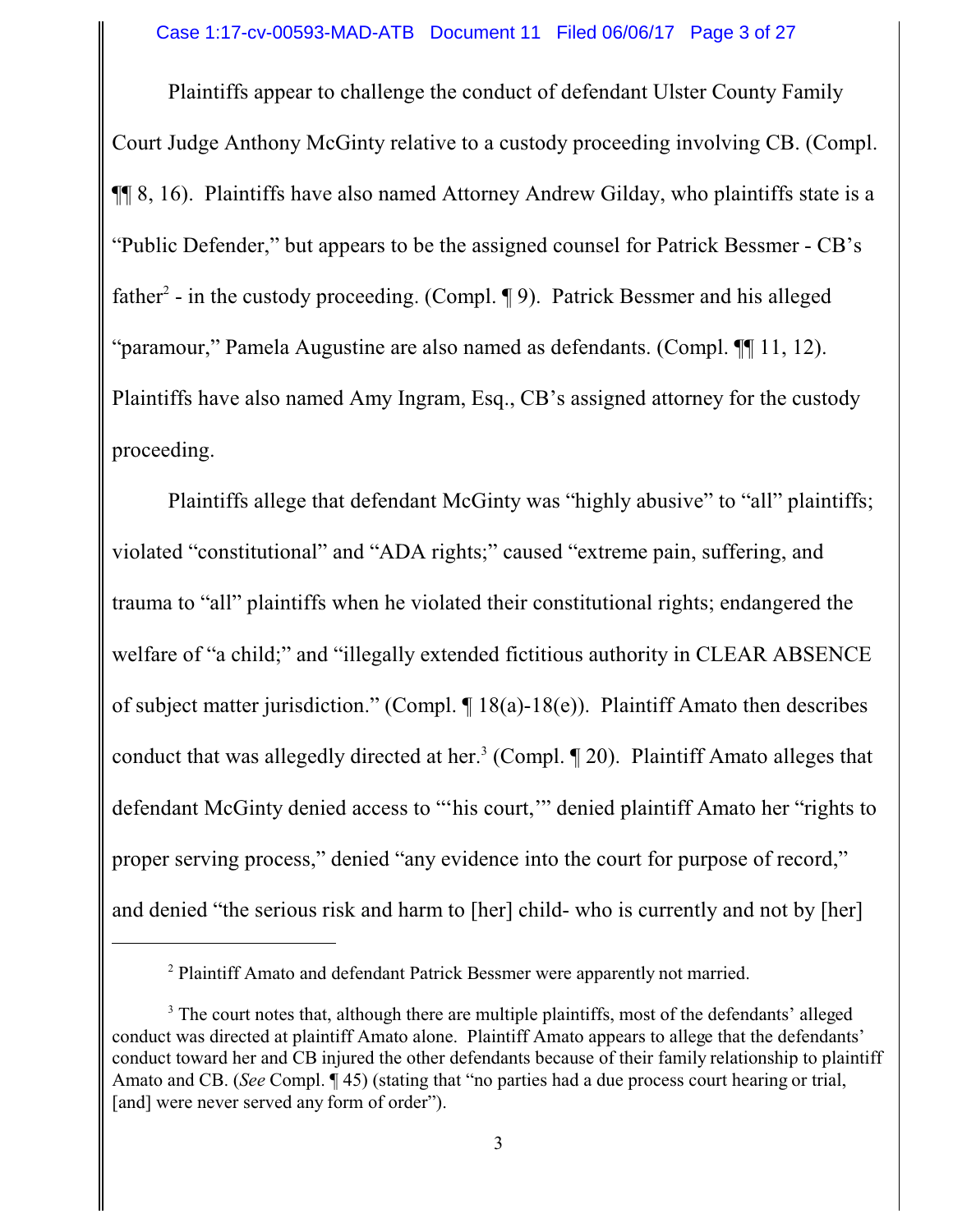Plaintiffs appear to challenge the conduct of defendant Ulster County Family Court Judge Anthony McGinty relative to a custody proceeding involving CB. (Compl. ¶¶ 8, 16). Plaintiffs have also named Attorney Andrew Gilday, who plaintiffs state is a "Public Defender," but appears to be the assigned counsel for Patrick Bessmer - CB's father<sup>2</sup> - in the custody proceeding. (Compl. ¶ 9). Patrick Bessmer and his alleged "paramour," Pamela Augustine are also named as defendants. (Compl. ¶¶ 11, 12). Plaintiffs have also named Amy Ingram, Esq., CB's assigned attorney for the custody proceeding.

Plaintiffs allege that defendant McGinty was "highly abusive" to "all" plaintiffs; violated "constitutional" and "ADA rights;" caused "extreme pain, suffering, and trauma to "all" plaintiffs when he violated their constitutional rights; endangered the welfare of "a child;" and "illegally extended fictitious authority in CLEAR ABSENCE of subject matter jurisdiction." (Compl. ¶ 18(a)-18(e)). Plaintiff Amato then describes conduct that was allegedly directed at her.<sup>3</sup> (Compl.  $\P$  20). Plaintiff Amato alleges that defendant McGinty denied access to "'his court,'" denied plaintiff Amato her "rights to proper serving process," denied "any evidence into the court for purpose of record," and denied "the serious risk and harm to [her] child- who is currently and not by [her]

<sup>&</sup>lt;sup>2</sup> Plaintiff Amato and defendant Patrick Bessmer were apparently not married.

<sup>&</sup>lt;sup>3</sup> The court notes that, although there are multiple plaintiffs, most of the defendants' alleged conduct was directed at plaintiff Amato alone. Plaintiff Amato appears to allege that the defendants' conduct toward her and CB injured the other defendants because of their family relationship to plaintiff Amato and CB. (*See* Compl. ¶ 45) (stating that "no parties had a due process court hearing or trial, [and] were never served any form of order").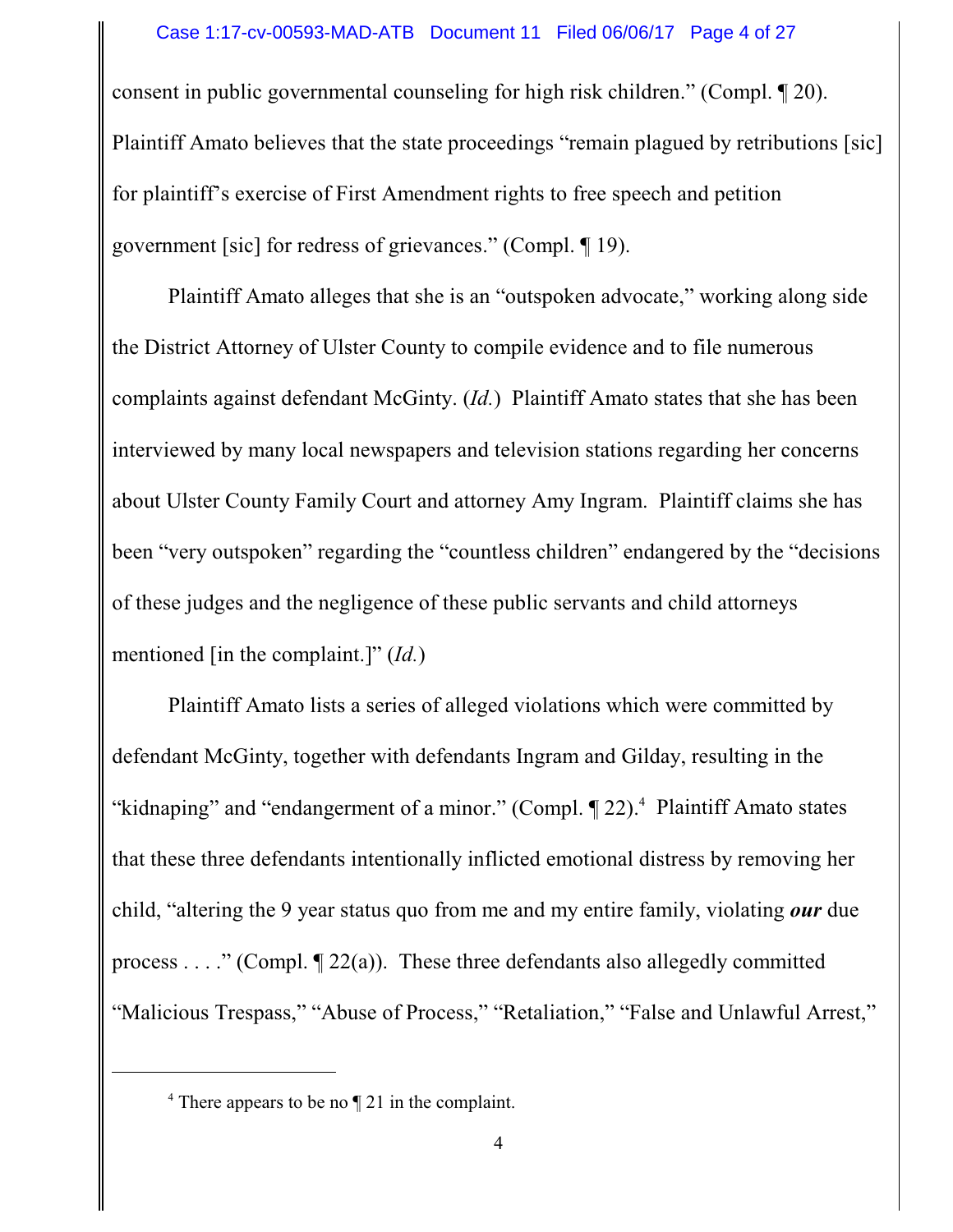#### Case 1:17-cv-00593-MAD-ATB Document 11 Filed 06/06/17 Page 4 of 27

consent in public governmental counseling for high risk children." (Compl. ¶ 20). Plaintiff Amato believes that the state proceedings "remain plagued by retributions [sic] for plaintiff's exercise of First Amendment rights to free speech and petition government [sic] for redress of grievances." (Compl. ¶ 19).

Plaintiff Amato alleges that she is an "outspoken advocate," working along side the District Attorney of Ulster County to compile evidence and to file numerous complaints against defendant McGinty. (*Id.*) Plaintiff Amato states that she has been interviewed by many local newspapers and television stations regarding her concerns about Ulster County Family Court and attorney Amy Ingram. Plaintiff claims she has been "very outspoken" regarding the "countless children" endangered by the "decisions of these judges and the negligence of these public servants and child attorneys mentioned [in the complaint.]" (*Id.*)

Plaintiff Amato lists a series of alleged violations which were committed by defendant McGinty, together with defendants Ingram and Gilday, resulting in the "kidnaping" and "endangerment of a minor." (Compl. 122).<sup>4</sup> Plaintiff Amato states that these three defendants intentionally inflicted emotional distress by removing her child, "altering the 9 year status quo from me and my entire family, violating *our* due process . . . ." (Compl.  $\P$  22(a)). These three defendants also allegedly committed "Malicious Trespass," "Abuse of Process," "Retaliation," "False and Unlawful Arrest,"

<sup>&</sup>lt;sup>4</sup> There appears to be no ¶ 21 in the complaint.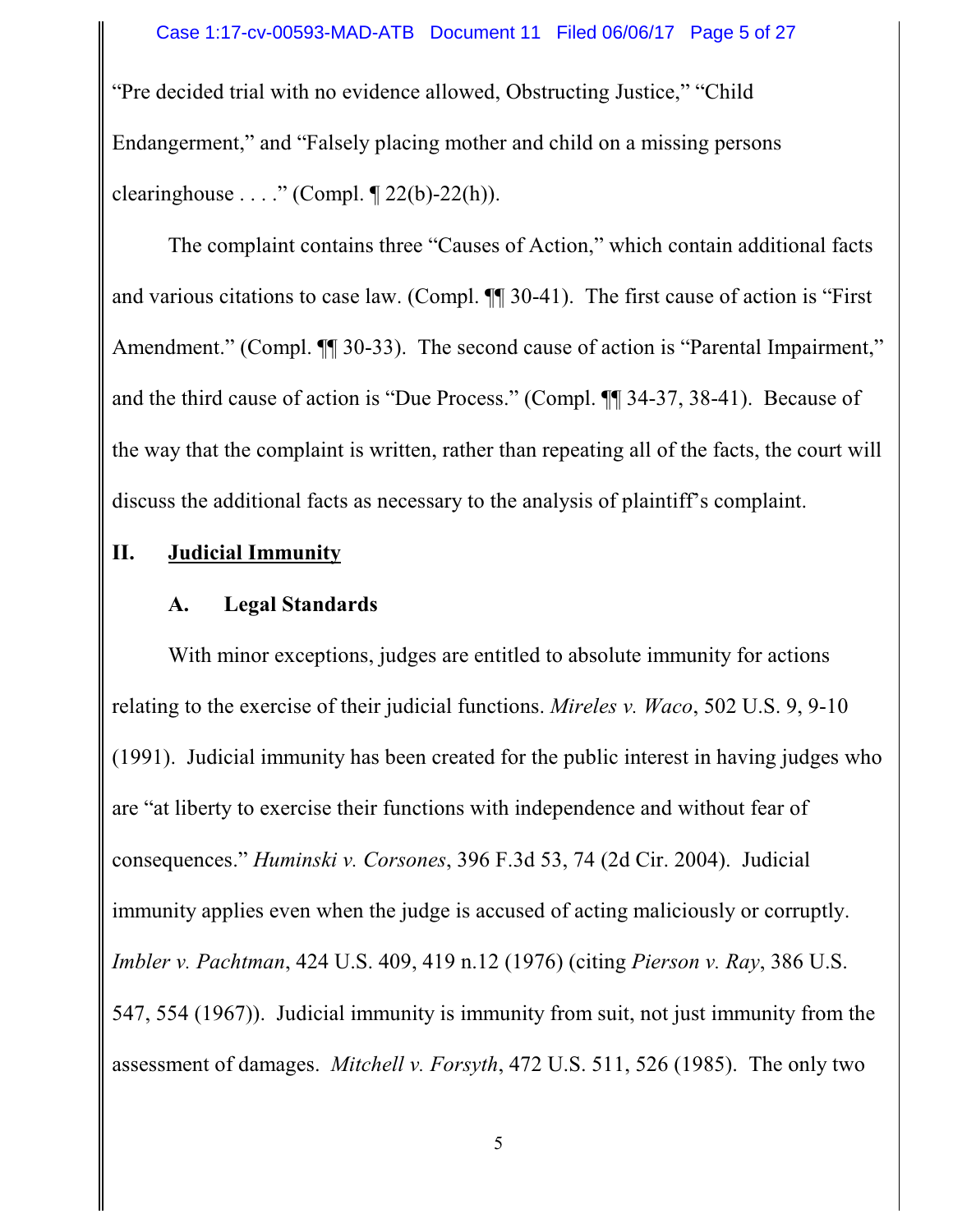"Pre decided trial with no evidence allowed, Obstructing Justice," "Child Endangerment," and "Falsely placing mother and child on a missing persons clearinghouse  $\ldots$ ." (Compl. ¶ 22(b)-22(h)).

The complaint contains three "Causes of Action," which contain additional facts and various citations to case law. (Compl. ¶¶ 30-41). The first cause of action is "First Amendment." (Compl.  $\P$  30-33). The second cause of action is "Parental Impairment," and the third cause of action is "Due Process." (Compl. ¶¶ 34-37, 38-41). Because of the way that the complaint is written, rather than repeating all of the facts, the court will discuss the additional facts as necessary to the analysis of plaintiff's complaint.

## **II. Judicial Immunity**

## **A. Legal Standards**

With minor exceptions, judges are entitled to absolute immunity for actions relating to the exercise of their judicial functions. *Mireles v. Waco*, 502 U.S. 9, 9-10 (1991). Judicial immunity has been created for the public interest in having judges who are "at liberty to exercise their functions with independence and without fear of consequences." *Huminski v. Corsones*, 396 F.3d 53, 74 (2d Cir. 2004). Judicial immunity applies even when the judge is accused of acting maliciously or corruptly. *Imbler v. Pachtman*, 424 U.S. 409, 419 n.12 (1976) (citing *Pierson v. Ray*, 386 U.S. 547, 554 (1967)). Judicial immunity is immunity from suit, not just immunity from the assessment of damages. *Mitchell v. Forsyth*, 472 U.S. 511, 526 (1985). The only two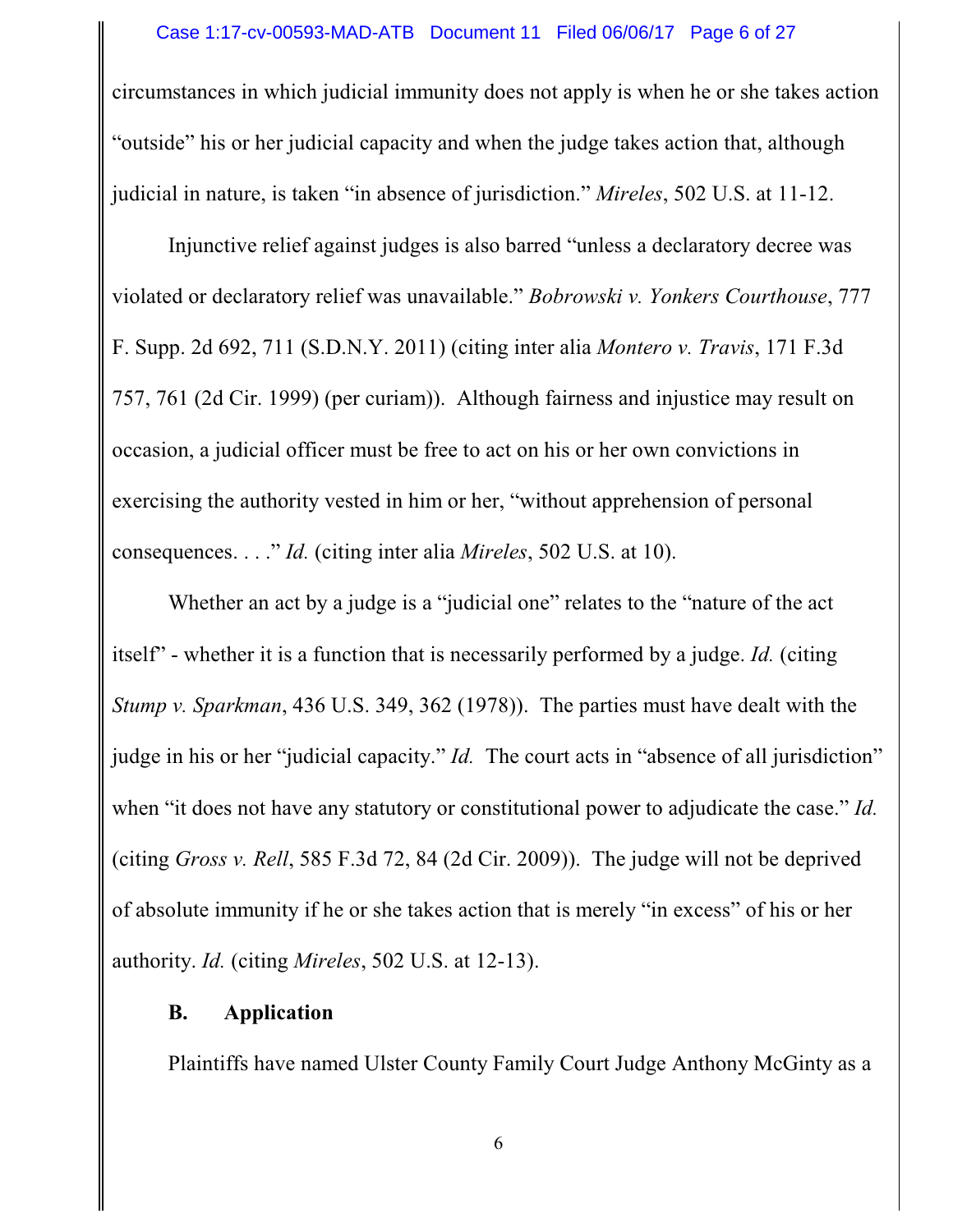#### Case 1:17-cv-00593-MAD-ATB Document 11 Filed 06/06/17 Page 6 of 27

circumstances in which judicial immunity does not apply is when he or she takes action "outside" his or her judicial capacity and when the judge takes action that, although judicial in nature, is taken "in absence of jurisdiction." *Mireles*, 502 U.S. at 11-12.

Injunctive relief against judges is also barred "unless a declaratory decree was violated or declaratory relief was unavailable." *Bobrowski v. Yonkers Courthouse*, 777 F. Supp. 2d 692, 711 (S.D.N.Y. 2011) (citing inter alia *Montero v. Travis*, 171 F.3d 757, 761 (2d Cir. 1999) (per curiam)). Although fairness and injustice may result on occasion, a judicial officer must be free to act on his or her own convictions in exercising the authority vested in him or her, "without apprehension of personal consequences. . . ." *Id.* (citing inter alia *Mireles*, 502 U.S. at 10).

Whether an act by a judge is a "judicial one" relates to the "nature of the act itself" - whether it is a function that is necessarily performed by a judge. *Id.* (citing *Stump v. Sparkman*, 436 U.S. 349, 362 (1978)). The parties must have dealt with the judge in his or her "judicial capacity." *Id.* The court acts in "absence of all jurisdiction" when "it does not have any statutory or constitutional power to adjudicate the case." *Id.* (citing *Gross v. Rell*, 585 F.3d 72, 84 (2d Cir. 2009)). The judge will not be deprived of absolute immunity if he or she takes action that is merely "in excess" of his or her authority. *Id.* (citing *Mireles*, 502 U.S. at 12-13).

### **B. Application**

Plaintiffs have named Ulster County Family Court Judge Anthony McGinty as a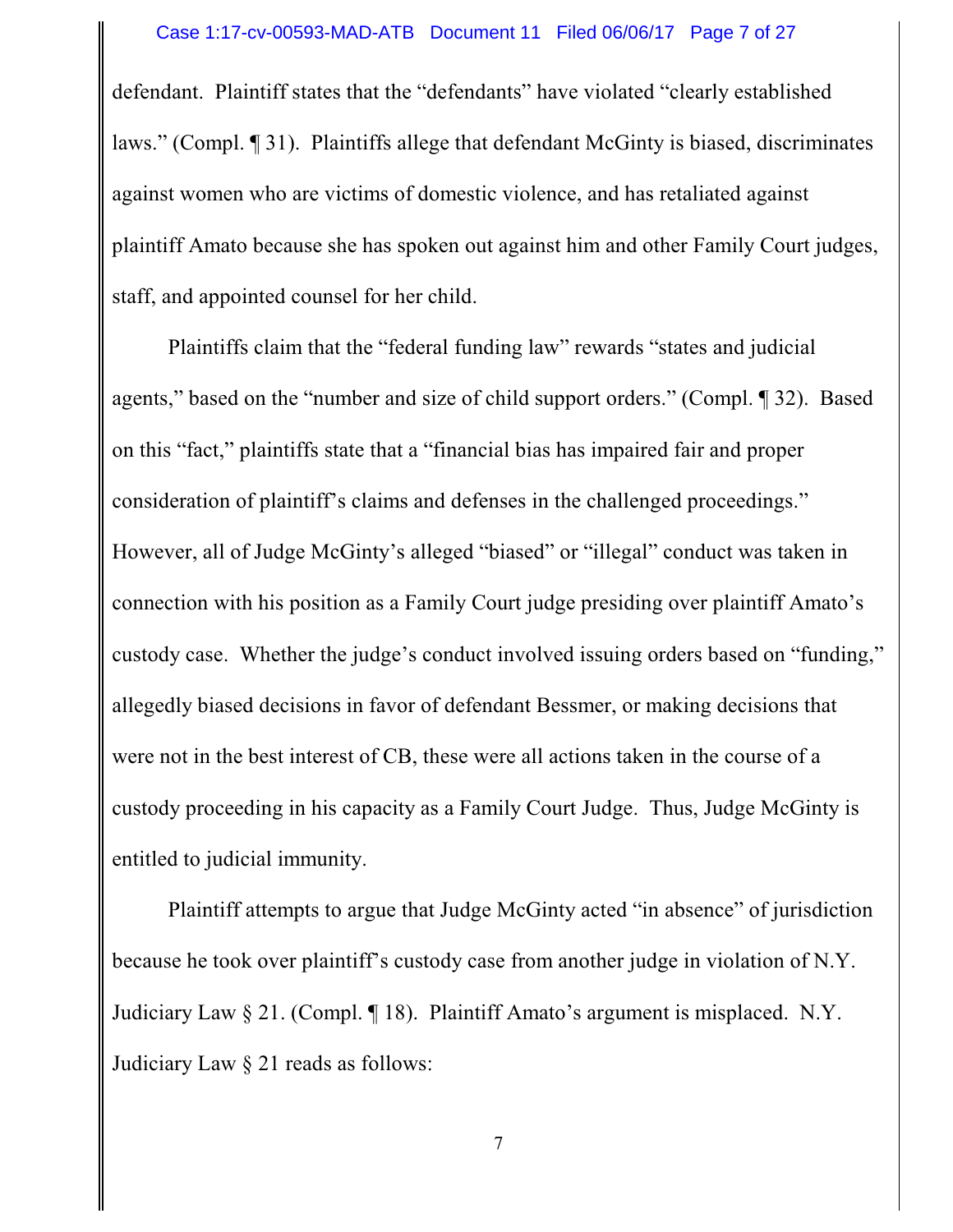defendant. Plaintiff states that the "defendants" have violated "clearly established laws." (Compl. ¶ 31). Plaintiffs allege that defendant McGinty is biased, discriminates against women who are victims of domestic violence, and has retaliated against plaintiff Amato because she has spoken out against him and other Family Court judges, staff, and appointed counsel for her child.

Plaintiffs claim that the "federal funding law" rewards "states and judicial agents," based on the "number and size of child support orders." (Compl. ¶ 32). Based on this "fact," plaintiffs state that a "financial bias has impaired fair and proper consideration of plaintiff's claims and defenses in the challenged proceedings." However, all of Judge McGinty's alleged "biased" or "illegal" conduct was taken in connection with his position as a Family Court judge presiding over plaintiff Amato's custody case. Whether the judge's conduct involved issuing orders based on "funding," allegedly biased decisions in favor of defendant Bessmer, or making decisions that were not in the best interest of CB, these were all actions taken in the course of a custody proceeding in his capacity as a Family Court Judge. Thus, Judge McGinty is entitled to judicial immunity.

Plaintiff attempts to argue that Judge McGinty acted "in absence" of jurisdiction because he took over plaintiff's custody case from another judge in violation of N.Y. Judiciary Law § 21. (Compl. ¶ 18). Plaintiff Amato's argument is misplaced. N.Y. Judiciary Law § 21 reads as follows: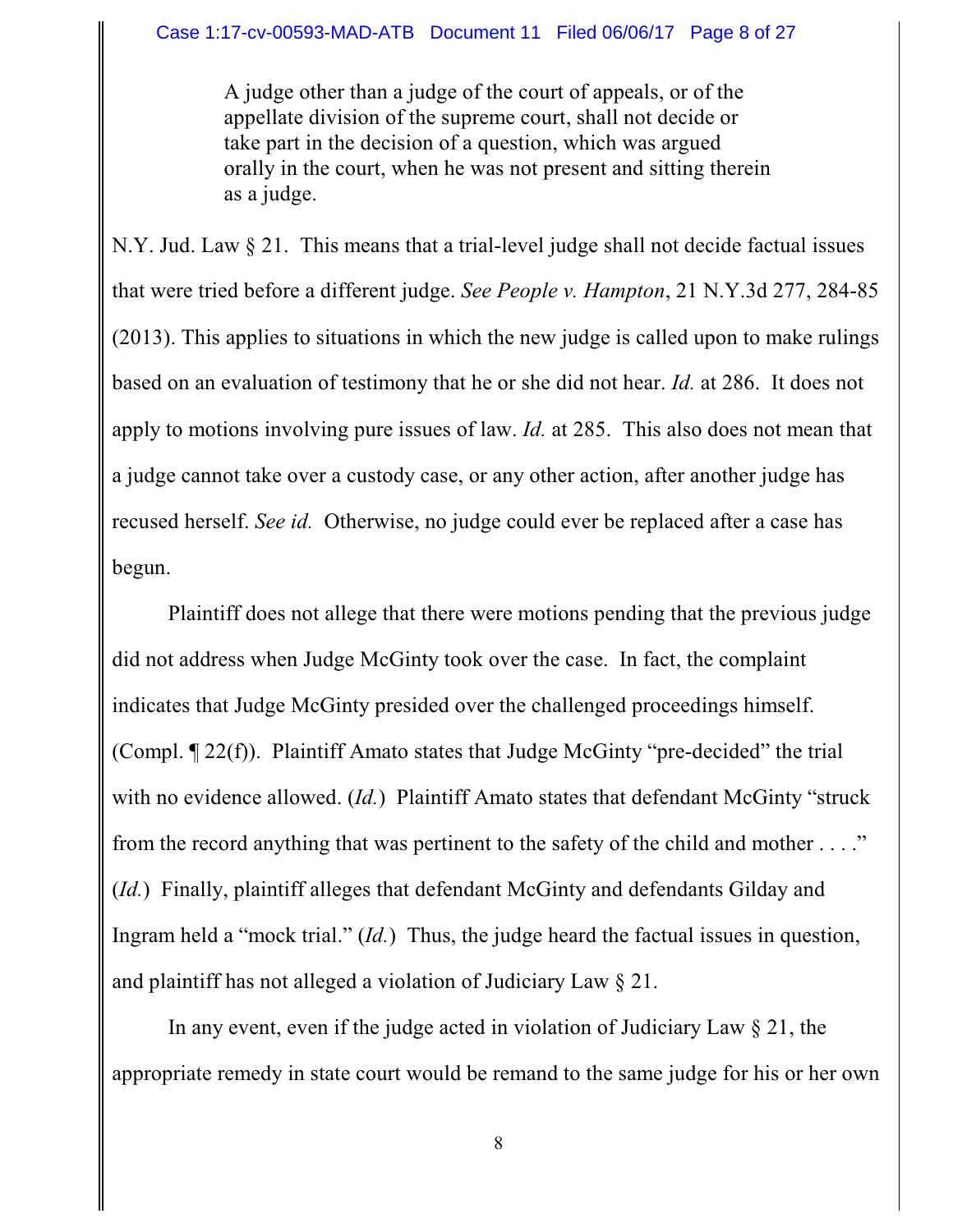A judge other than a judge of the court of appeals, or of the appellate division of the supreme court, shall not decide or take part in the decision of a question, which was argued orally in the court, when he was not present and sitting therein as a judge.

N.Y. Jud. Law § 21. This means that a trial-level judge shall not decide factual issues that were tried before a different judge. *See People v. Hampton*, 21 N.Y.3d 277, 284-85 (2013). This applies to situations in which the new judge is called upon to make rulings based on an evaluation of testimony that he or she did not hear. *Id.* at 286. It does not apply to motions involving pure issues of law. *Id.* at 285. This also does not mean that a judge cannot take over a custody case, or any other action, after another judge has recused herself. *See id.* Otherwise, no judge could ever be replaced after a case has begun.

Plaintiff does not allege that there were motions pending that the previous judge did not address when Judge McGinty took over the case. In fact, the complaint indicates that Judge McGinty presided over the challenged proceedings himself. (Compl. ¶ 22(f)). Plaintiff Amato states that Judge McGinty "pre-decided" the trial with no evidence allowed. (*Id.*) Plaintiff Amato states that defendant McGinty "struck from the record anything that was pertinent to the safety of the child and mother  $\dots$ ." (*Id.*) Finally, plaintiff alleges that defendant McGinty and defendants Gilday and Ingram held a "mock trial." (*Id.*) Thus, the judge heard the factual issues in question, and plaintiff has not alleged a violation of Judiciary Law § 21.

In any event, even if the judge acted in violation of Judiciary Law § 21, the appropriate remedy in state court would be remand to the same judge for his or her own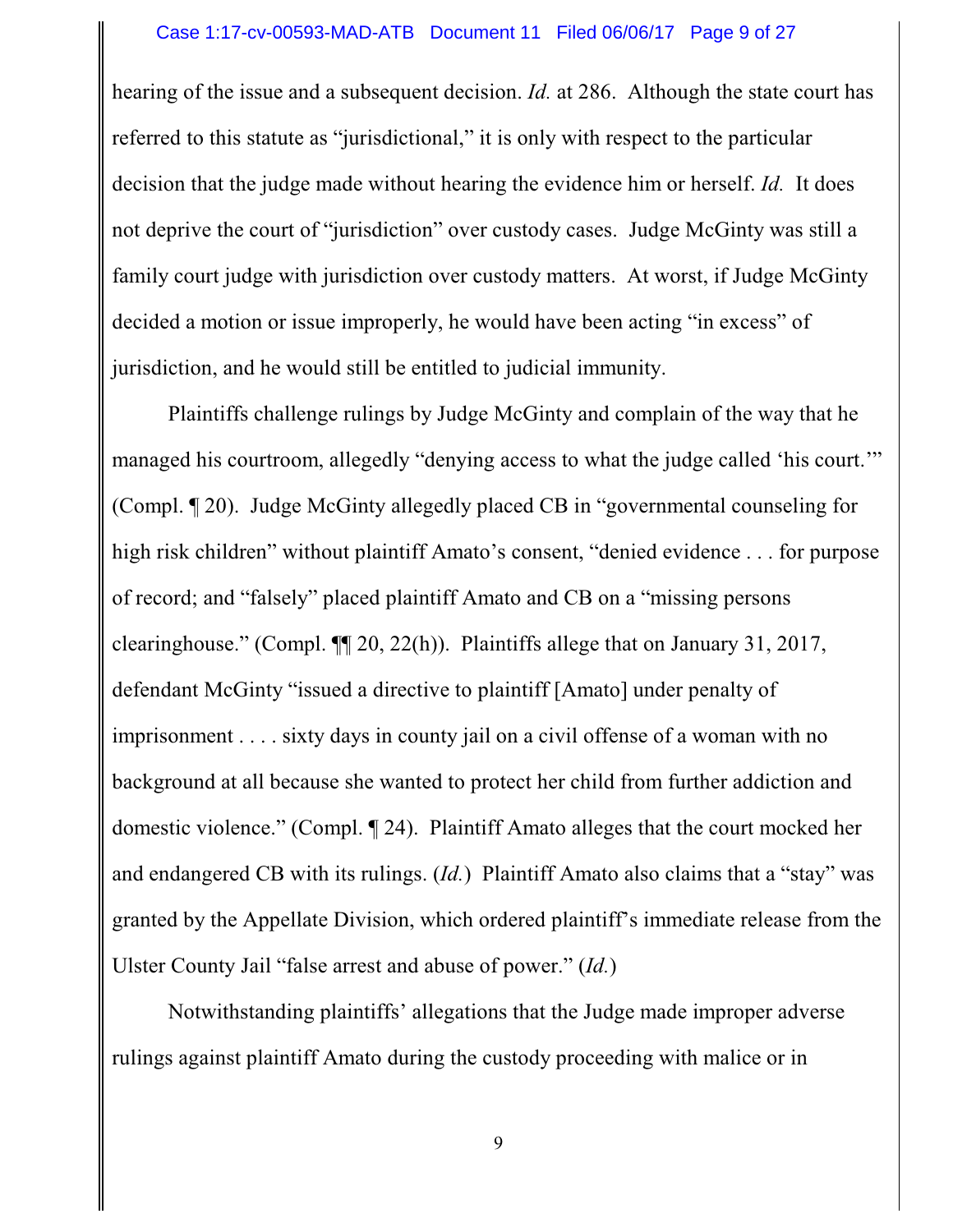hearing of the issue and a subsequent decision. *Id.* at 286. Although the state court has referred to this statute as "jurisdictional," it is only with respect to the particular decision that the judge made without hearing the evidence him or herself. *Id.* It does not deprive the court of "jurisdiction" over custody cases. Judge McGinty was still a family court judge with jurisdiction over custody matters. At worst, if Judge McGinty decided a motion or issue improperly, he would have been acting "in excess" of jurisdiction, and he would still be entitled to judicial immunity.

Plaintiffs challenge rulings by Judge McGinty and complain of the way that he managed his courtroom, allegedly "denying access to what the judge called 'his court.'" (Compl. ¶ 20). Judge McGinty allegedly placed CB in "governmental counseling for high risk children" without plaintiff Amato's consent, "denied evidence . . . for purpose of record; and "falsely" placed plaintiff Amato and CB on a "missing persons clearinghouse." (Compl. ¶¶ 20, 22(h)). Plaintiffs allege that on January 31, 2017, defendant McGinty "issued a directive to plaintiff [Amato] under penalty of imprisonment . . . . sixty days in county jail on a civil offense of a woman with no background at all because she wanted to protect her child from further addiction and domestic violence." (Compl. ¶ 24). Plaintiff Amato alleges that the court mocked her and endangered CB with its rulings. (*Id.*) Plaintiff Amato also claims that a "stay" was granted by the Appellate Division, which ordered plaintiff's immediate release from the Ulster County Jail "false arrest and abuse of power." (*Id.*)

Notwithstanding plaintiffs' allegations that the Judge made improper adverse rulings against plaintiff Amato during the custody proceeding with malice or in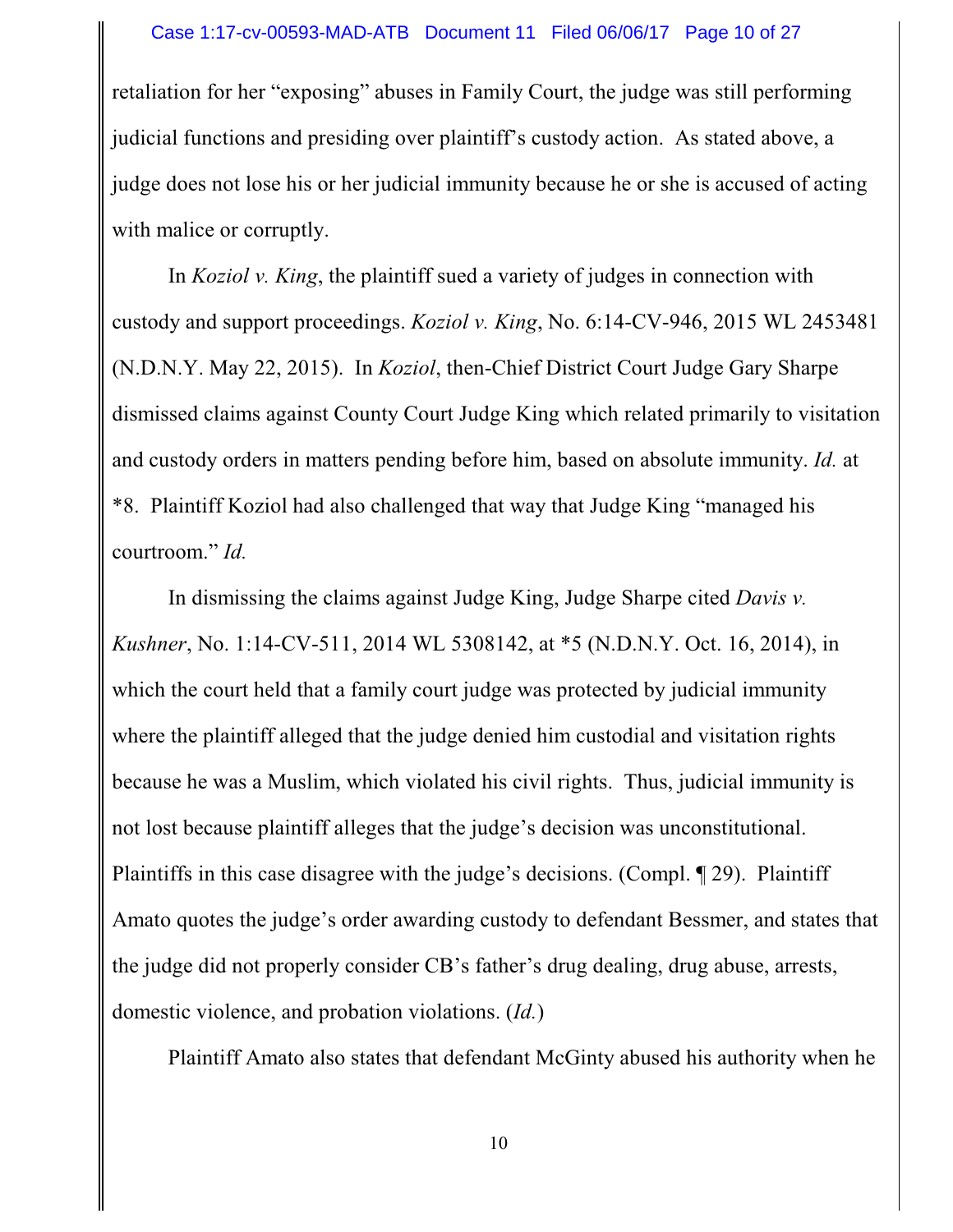retaliation for her "exposing" abuses in Family Court, the judge was still performing judicial functions and presiding over plaintiff's custody action. As stated above, a judge does not lose his or her judicial immunity because he or she is accused of acting with malice or corruptly.

In *Koziol v. King*, the plaintiff sued a variety of judges in connection with custody and support proceedings. *Koziol v. King*, No. 6:14-CV-946, 2015 WL 2453481 (N.D.N.Y. May 22, 2015). In *Koziol*, then-Chief District Court Judge Gary Sharpe dismissed claims against County Court Judge King which related primarily to visitation and custody orders in matters pending before him, based on absolute immunity. *Id.* at \*8. Plaintiff Koziol had also challenged that way that Judge King "managed his courtroom." *Id.*

In dismissing the claims against Judge King, Judge Sharpe cited *Davis v. Kushner*, No. 1:14-CV-511, 2014 WL 5308142, at \*5 (N.D.N.Y. Oct. 16, 2014), in which the court held that a family court judge was protected by judicial immunity where the plaintiff alleged that the judge denied him custodial and visitation rights because he was a Muslim, which violated his civil rights. Thus, judicial immunity is not lost because plaintiff alleges that the judge's decision was unconstitutional. Plaintiffs in this case disagree with the judge's decisions. (Compl. ¶ 29). Plaintiff Amato quotes the judge's order awarding custody to defendant Bessmer, and states that the judge did not properly consider CB's father's drug dealing, drug abuse, arrests, domestic violence, and probation violations. (*Id.*)

Plaintiff Amato also states that defendant McGinty abused his authority when he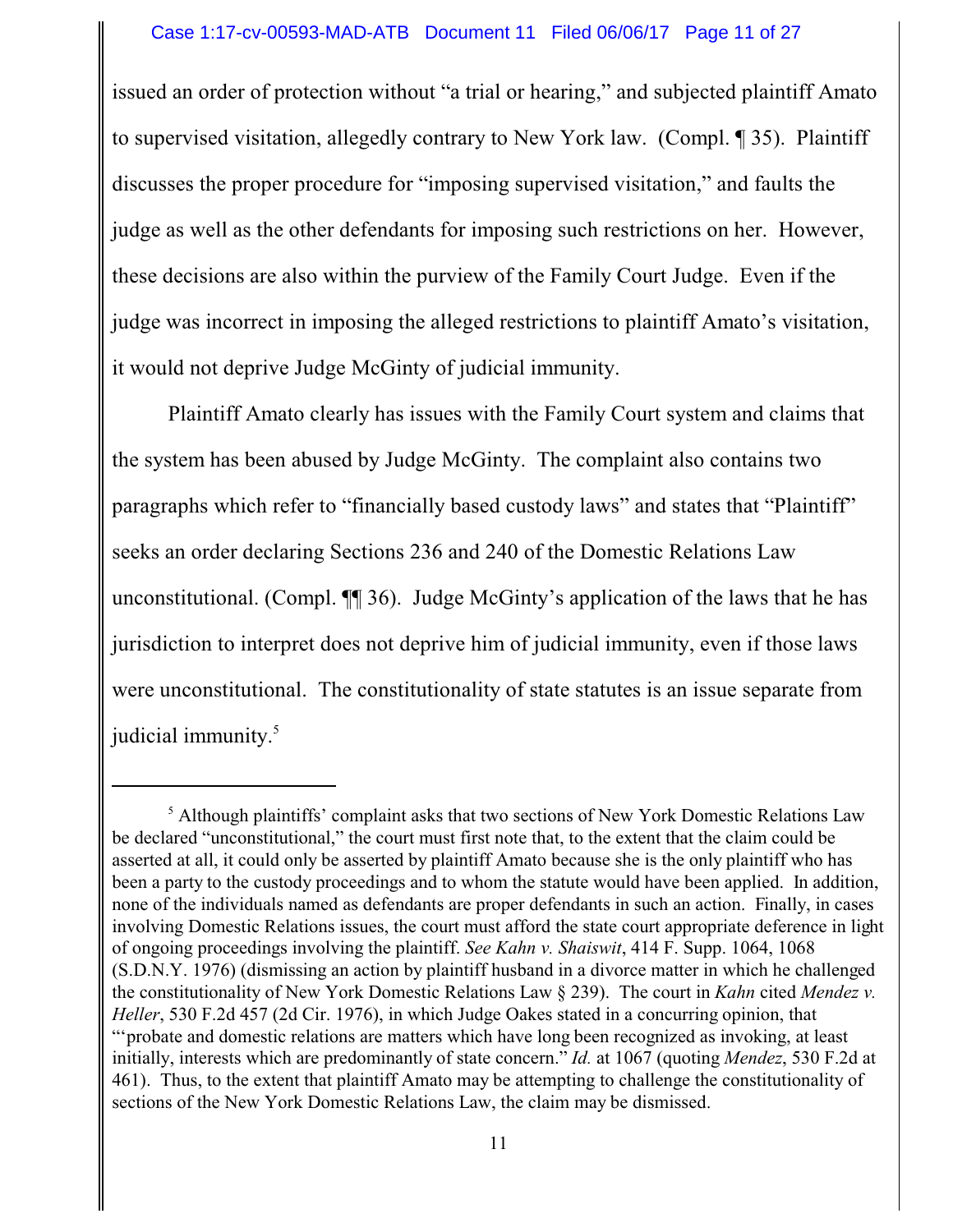#### Case 1:17-cv-00593-MAD-ATB Document 11 Filed 06/06/17 Page 11 of 27

issued an order of protection without "a trial or hearing," and subjected plaintiff Amato to supervised visitation, allegedly contrary to New York law. (Compl. ¶ 35). Plaintiff discusses the proper procedure for "imposing supervised visitation," and faults the judge as well as the other defendants for imposing such restrictions on her. However, these decisions are also within the purview of the Family Court Judge. Even if the judge was incorrect in imposing the alleged restrictions to plaintiff Amato's visitation, it would not deprive Judge McGinty of judicial immunity.

Plaintiff Amato clearly has issues with the Family Court system and claims that the system has been abused by Judge McGinty. The complaint also contains two paragraphs which refer to "financially based custody laws" and states that "Plaintiff" seeks an order declaring Sections 236 and 240 of the Domestic Relations Law unconstitutional. (Compl. ¶¶ 36). Judge McGinty's application of the laws that he has jurisdiction to interpret does not deprive him of judicial immunity, even if those laws were unconstitutional. The constitutionality of state statutes is an issue separate from judicial immunity. 5

<sup>&</sup>lt;sup>5</sup> Although plaintiffs' complaint asks that two sections of New York Domestic Relations Law be declared "unconstitutional," the court must first note that, to the extent that the claim could be asserted at all, it could only be asserted by plaintiff Amato because she is the only plaintiff who has been a party to the custody proceedings and to whom the statute would have been applied. In addition, none of the individuals named as defendants are proper defendants in such an action. Finally, in cases involving Domestic Relations issues, the court must afford the state court appropriate deference in light of ongoing proceedings involving the plaintiff. *See Kahn v. Shaiswit*, 414 F. Supp. 1064, 1068 (S.D.N.Y. 1976) (dismissing an action by plaintiff husband in a divorce matter in which he challenged the constitutionality of New York Domestic Relations Law § 239). The court in *Kahn* cited *Mendez v. Heller*, 530 F.2d 457 (2d Cir. 1976), in which Judge Oakes stated in a concurring opinion, that "'probate and domestic relations are matters which have long been recognized as invoking, at least initially, interests which are predominantly of state concern." *Id.* at 1067 (quoting *Mendez*, 530 F.2d at 461). Thus, to the extent that plaintiff Amato may be attempting to challenge the constitutionality of sections of the New York Domestic Relations Law, the claim may be dismissed.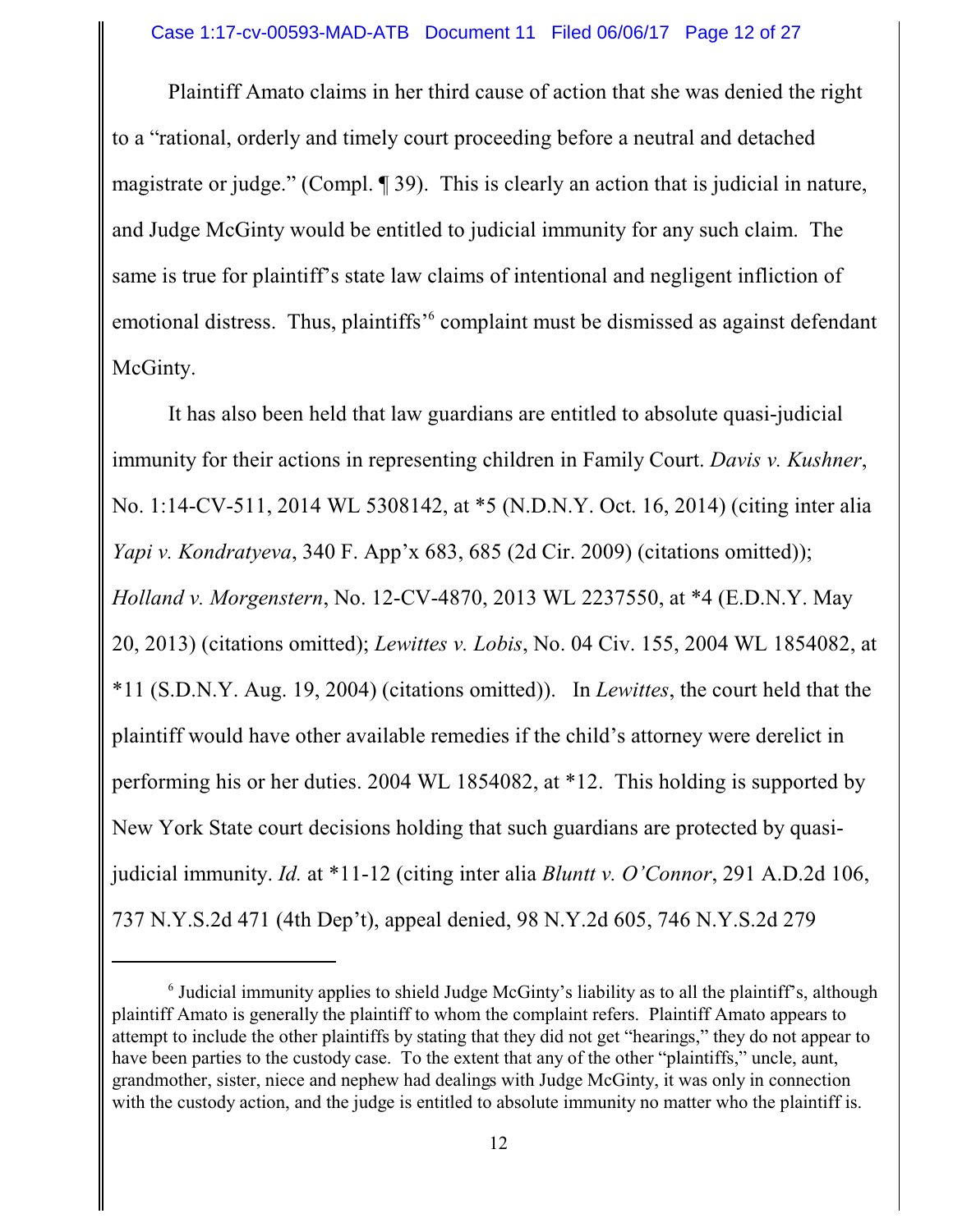Plaintiff Amato claims in her third cause of action that she was denied the right to a "rational, orderly and timely court proceeding before a neutral and detached magistrate or judge." (Compl. ¶ 39). This is clearly an action that is judicial in nature, and Judge McGinty would be entitled to judicial immunity for any such claim. The same is true for plaintiff's state law claims of intentional and negligent infliction of emotional distress. Thus, plaintiffs<sup>,6</sup> complaint must be dismissed as against defendant McGinty.

It has also been held that law guardians are entitled to absolute quasi-judicial immunity for their actions in representing children in Family Court. *Davis v. Kushner*, No. 1:14-CV-511, 2014 WL 5308142, at \*5 (N.D.N.Y. Oct. 16, 2014) (citing inter alia *Yapi v. Kondratyeva*, 340 F. App'x 683, 685 (2d Cir. 2009) (citations omitted)); *Holland v. Morgenstern*, No. 12-CV-4870, 2013 WL 2237550, at \*4 (E.D.N.Y. May 20, 2013) (citations omitted); *Lewittes v. Lobis*, No. 04 Civ. 155, 2004 WL 1854082, at \*11 (S.D.N.Y. Aug. 19, 2004) (citations omitted)). In *Lewittes*, the court held that the plaintiff would have other available remedies if the child's attorney were derelict in performing his or her duties. 2004 WL 1854082, at \*12. This holding is supported by New York State court decisions holding that such guardians are protected by quasijudicial immunity. *Id.* at \*11-12 (citing inter alia *Bluntt v. O'Connor*, 291 A.D.2d 106, 737 N.Y.S.2d 471 (4th Dep't), appeal denied, 98 N.Y.2d 605, 746 N.Y.S.2d 279

<sup>&</sup>lt;sup>6</sup> Judicial immunity applies to shield Judge McGinty's liability as to all the plaintiff's, although plaintiff Amato is generally the plaintiff to whom the complaint refers. Plaintiff Amato appears to attempt to include the other plaintiffs by stating that they did not get "hearings," they do not appear to have been parties to the custody case. To the extent that any of the other "plaintiffs," uncle, aunt, grandmother, sister, niece and nephew had dealings with Judge McGinty, it was only in connection with the custody action, and the judge is entitled to absolute immunity no matter who the plaintiff is.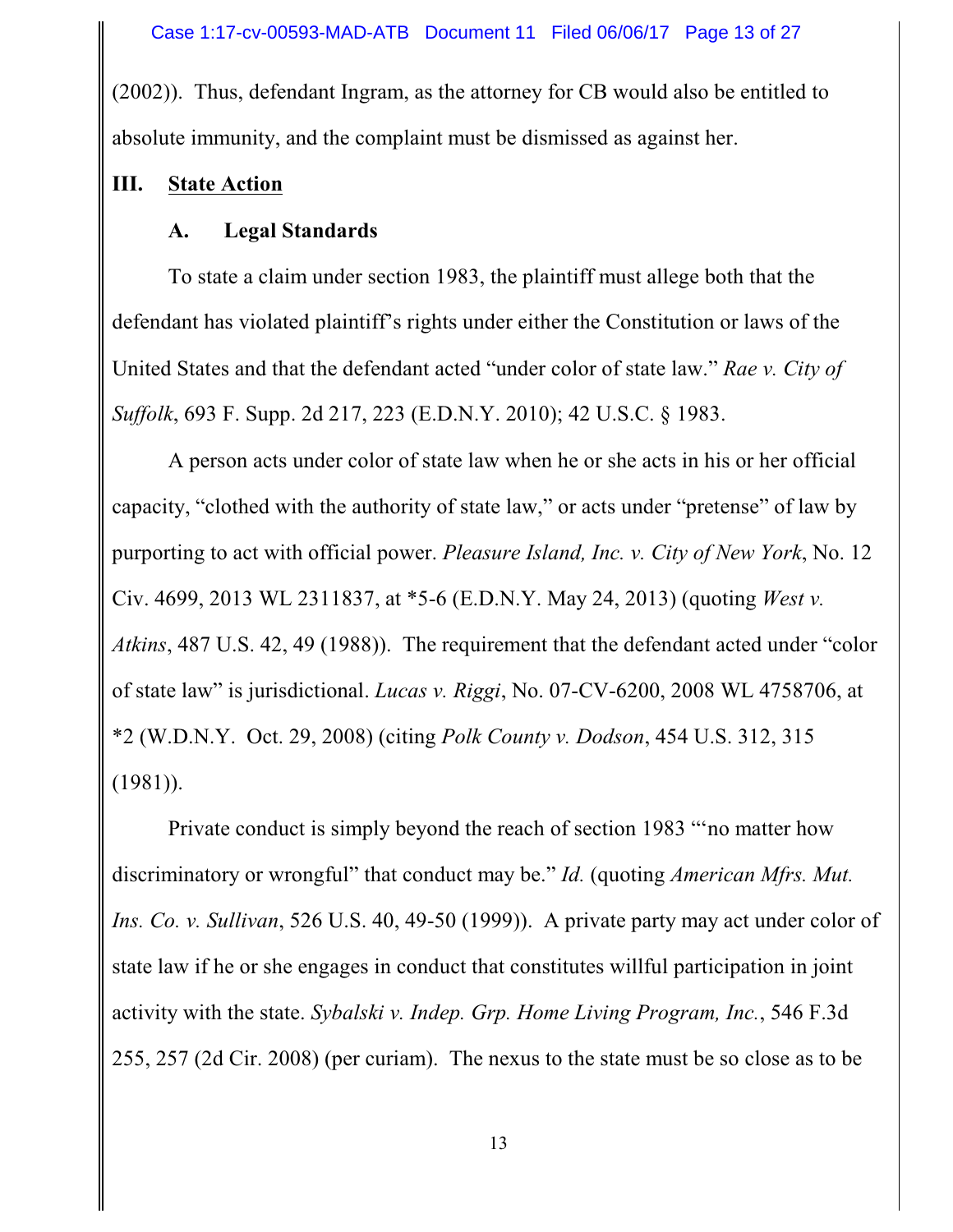(2002)). Thus, defendant Ingram, as the attorney for CB would also be entitled to absolute immunity, and the complaint must be dismissed as against her.

# **III. State Action**

# **A. Legal Standards**

To state a claim under section 1983, the plaintiff must allege both that the defendant has violated plaintiff's rights under either the Constitution or laws of the United States and that the defendant acted "under color of state law." *Rae v. City of Suffolk*, 693 F. Supp. 2d 217, 223 (E.D.N.Y. 2010); 42 U.S.C. § 1983.

A person acts under color of state law when he or she acts in his or her official capacity, "clothed with the authority of state law," or acts under "pretense" of law by purporting to act with official power. *Pleasure Island, Inc. v. City of New York*, No. 12 Civ. 4699, 2013 WL 2311837, at \*5-6 (E.D.N.Y. May 24, 2013) (quoting *West v. Atkins*, 487 U.S. 42, 49 (1988)). The requirement that the defendant acted under "color of state law" is jurisdictional. *Lucas v. Riggi*, No. 07-CV-6200, 2008 WL 4758706, at \*2 (W.D.N.Y. Oct. 29, 2008) (citing *Polk County v. Dodson*, 454 U.S. 312, 315 (1981)).

Private conduct is simply beyond the reach of section 1983 "'no matter how discriminatory or wrongful" that conduct may be." *Id.* (quoting *American Mfrs. Mut. Ins. Co. v. Sullivan*, 526 U.S. 40, 49-50 (1999)). A private party may act under color of state law if he or she engages in conduct that constitutes willful participation in joint activity with the state. *Sybalski v. Indep. Grp. Home Living Program, Inc.*, 546 F.3d 255, 257 (2d Cir. 2008) (per curiam). The nexus to the state must be so close as to be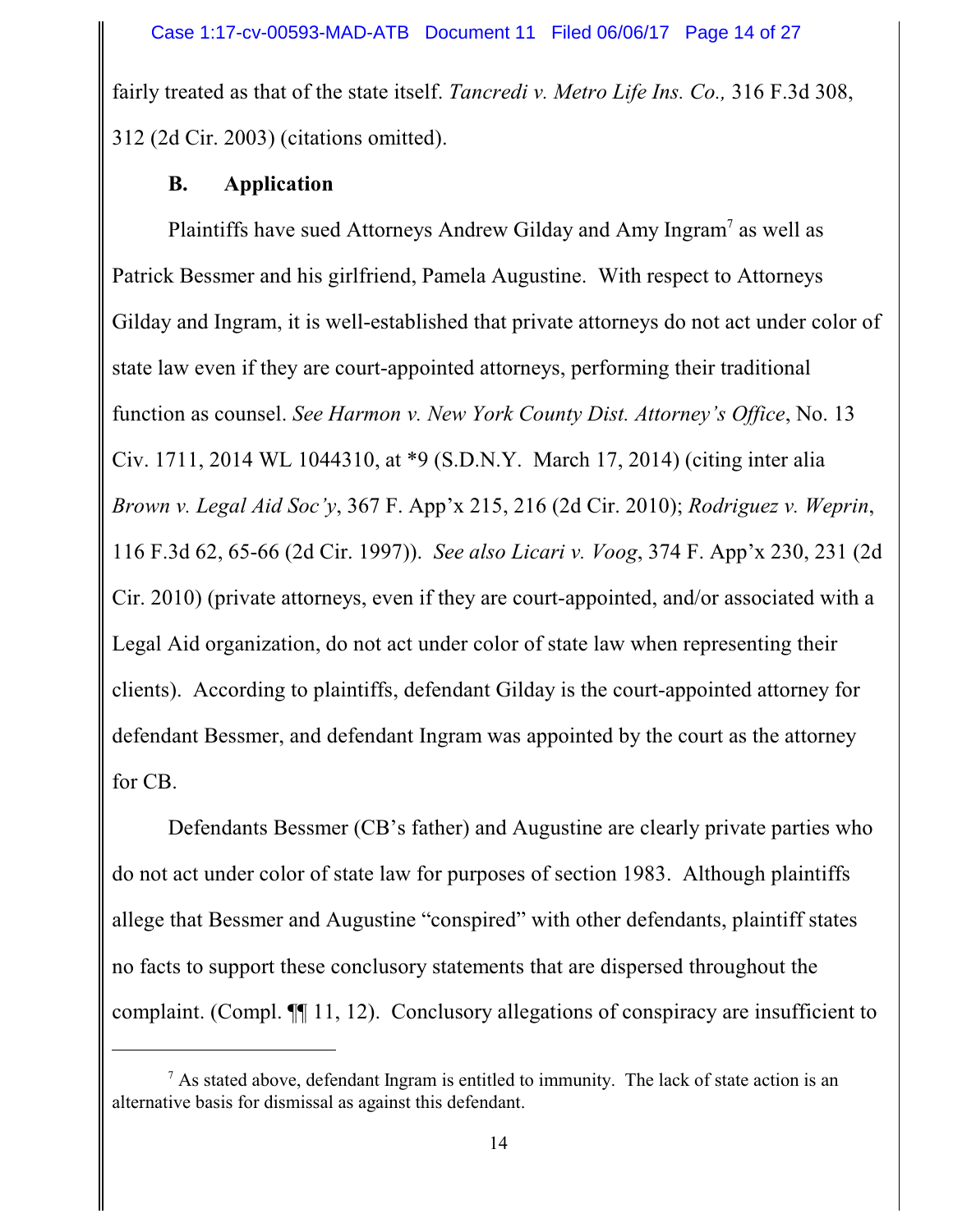fairly treated as that of the state itself. *Tancredi v. Metro Life Ins. Co.,* 316 F.3d 308, 312 (2d Cir. 2003) (citations omitted).

## **B. Application**

Plaintiffs have sued Attorneys Andrew Gilday and Amy Ingram<sup>7</sup> as well as Patrick Bessmer and his girlfriend, Pamela Augustine. With respect to Attorneys Gilday and Ingram, it is well-established that private attorneys do not act under color of state law even if they are court-appointed attorneys, performing their traditional function as counsel. *See Harmon v. New York County Dist. Attorney's Office*, No. 13 Civ. 1711, 2014 WL 1044310, at \*9 (S.D.N.Y. March 17, 2014) (citing inter alia *Brown v. Legal Aid Soc'y*, 367 F. App'x 215, 216 (2d Cir. 2010); *Rodriguez v. Weprin*, 116 F.3d 62, 65-66 (2d Cir. 1997)). *See also Licari v. Voog*, 374 F. App'x 230, 231 (2d Cir. 2010) (private attorneys, even if they are court-appointed, and/or associated with a Legal Aid organization, do not act under color of state law when representing their clients). According to plaintiffs, defendant Gilday is the court-appointed attorney for defendant Bessmer, and defendant Ingram was appointed by the court as the attorney for CB.

Defendants Bessmer (CB's father) and Augustine are clearly private parties who do not act under color of state law for purposes of section 1983. Although plaintiffs allege that Bessmer and Augustine "conspired" with other defendants, plaintiff states no facts to support these conclusory statements that are dispersed throughout the complaint. (Compl. ¶¶ 11, 12). Conclusory allegations of conspiracy are insufficient to

 $<sup>7</sup>$  As stated above, defendant Ingram is entitled to immunity. The lack of state action is an</sup> alternative basis for dismissal as against this defendant.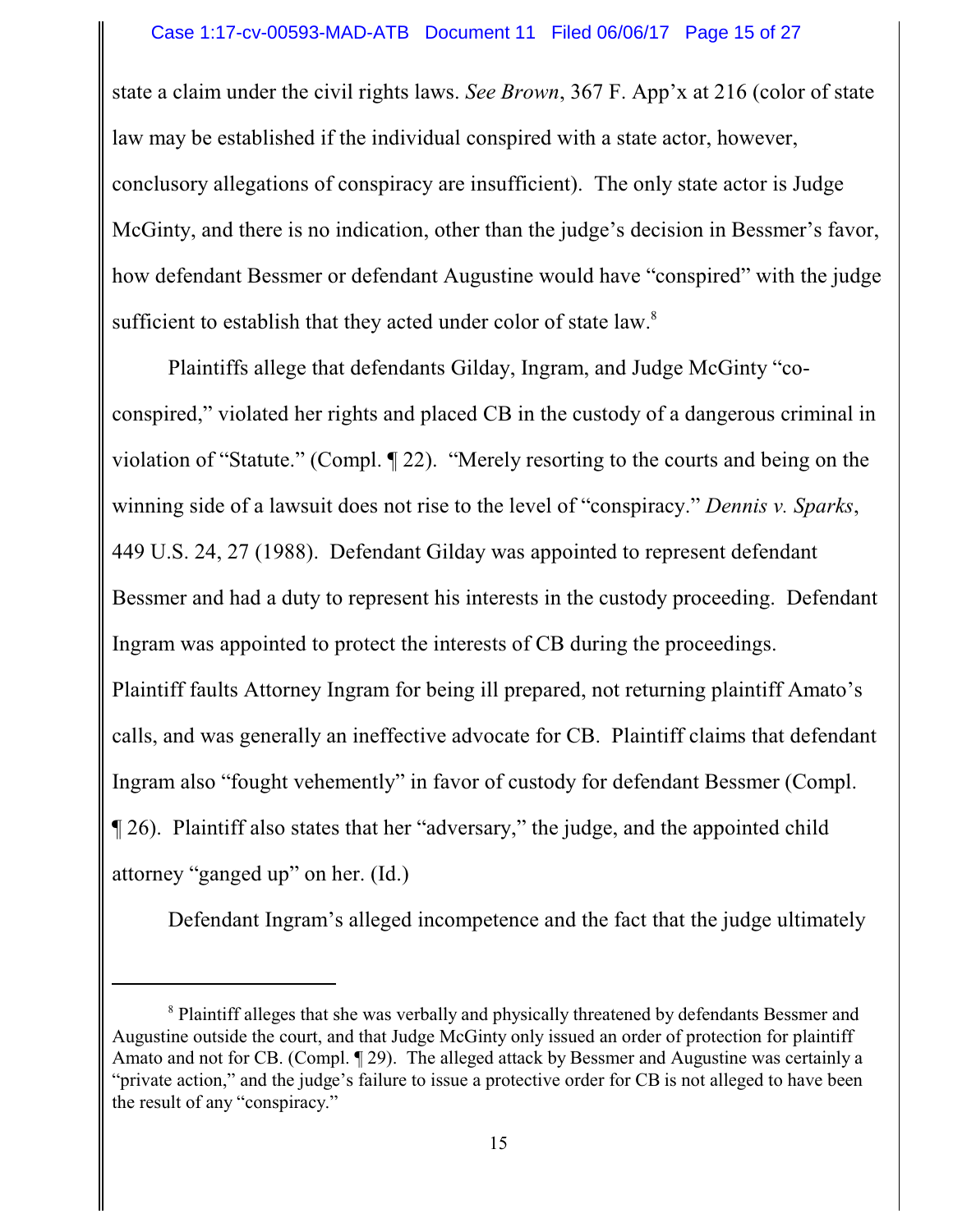state a claim under the civil rights laws. *See Brown*, 367 F. App'x at 216 (color of state law may be established if the individual conspired with a state actor, however, conclusory allegations of conspiracy are insufficient). The only state actor is Judge McGinty, and there is no indication, other than the judge's decision in Bessmer's favor, how defendant Bessmer or defendant Augustine would have "conspired" with the judge sufficient to establish that they acted under color of state law. $8$ 

Plaintiffs allege that defendants Gilday, Ingram, and Judge McGinty "coconspired," violated her rights and placed CB in the custody of a dangerous criminal in violation of "Statute." (Compl. ¶ 22). "Merely resorting to the courts and being on the winning side of a lawsuit does not rise to the level of "conspiracy." *Dennis v. Sparks*, 449 U.S. 24, 27 (1988). Defendant Gilday was appointed to represent defendant Bessmer and had a duty to represent his interests in the custody proceeding. Defendant Ingram was appointed to protect the interests of CB during the proceedings. Plaintiff faults Attorney Ingram for being ill prepared, not returning plaintiff Amato's calls, and was generally an ineffective advocate for CB. Plaintiff claims that defendant Ingram also "fought vehemently" in favor of custody for defendant Bessmer (Compl. ¶ 26). Plaintiff also states that her "adversary," the judge, and the appointed child attorney "ganged up" on her. (Id.)

Defendant Ingram's alleged incompetence and the fact that the judge ultimately

<sup>&</sup>lt;sup>8</sup> Plaintiff alleges that she was verbally and physically threatened by defendants Bessmer and Augustine outside the court, and that Judge McGinty only issued an order of protection for plaintiff Amato and not for CB. (Compl. ¶ 29). The alleged attack by Bessmer and Augustine was certainly a "private action," and the judge's failure to issue a protective order for CB is not alleged to have been the result of any "conspiracy."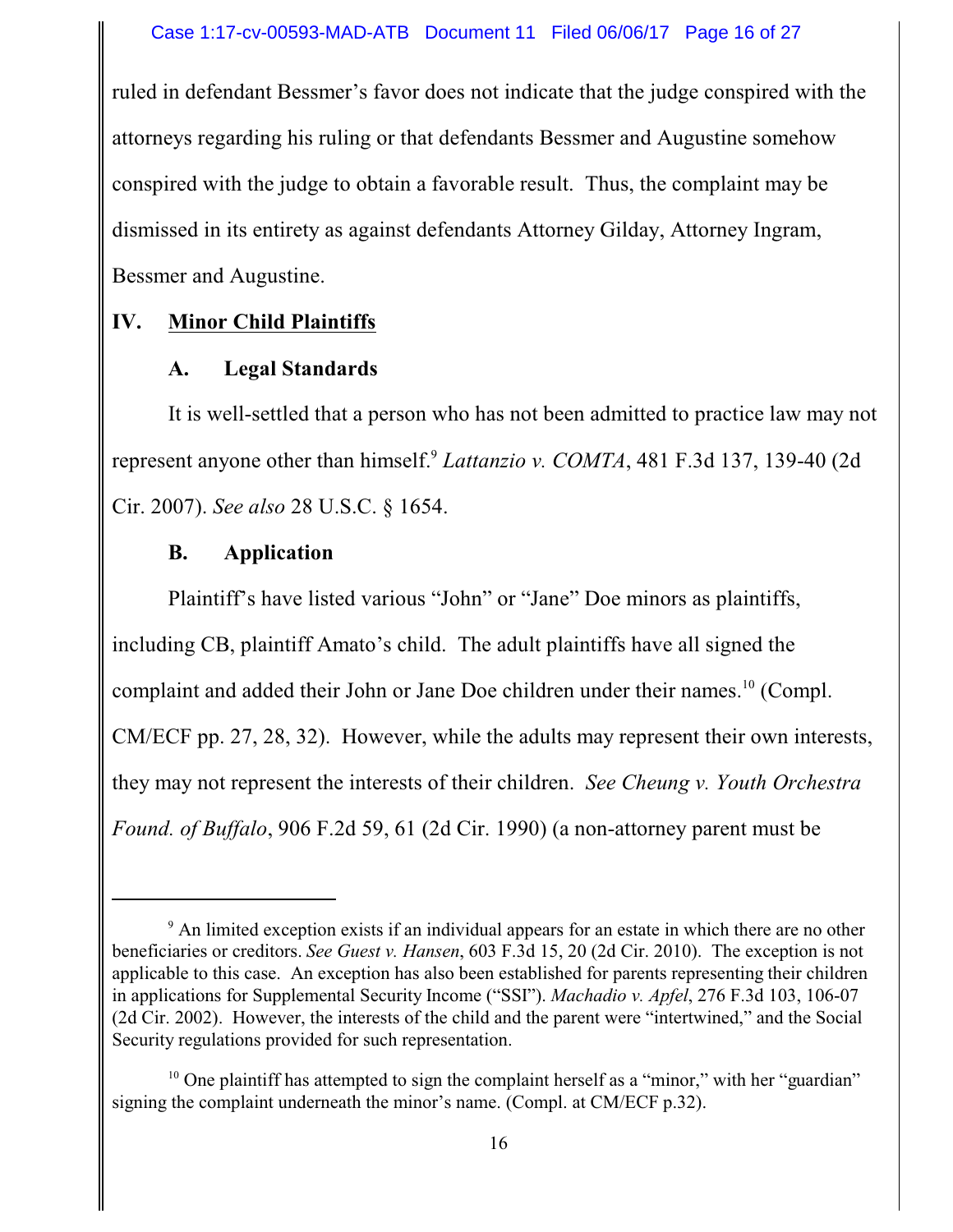ruled in defendant Bessmer's favor does not indicate that the judge conspired with the attorneys regarding his ruling or that defendants Bessmer and Augustine somehow conspired with the judge to obtain a favorable result. Thus, the complaint may be dismissed in its entirety as against defendants Attorney Gilday, Attorney Ingram, Bessmer and Augustine.

## **IV. Minor Child Plaintiffs**

## **A. Legal Standards**

It is well-settled that a person who has not been admitted to practice law may not represent anyone other than himself.<sup>9</sup> *Lattanzio v. COMTA*, 481 F.3d 137, 139-40 (2d Cir. 2007). *See also* 28 U.S.C. § 1654.

## **B. Application**

Plaintiff's have listed various "John" or "Jane" Doe minors as plaintiffs, including CB, plaintiff Amato's child. The adult plaintiffs have all signed the complaint and added their John or Jane Doe children under their names.<sup>10</sup> (Compl. CM/ECF pp. 27, 28, 32). However, while the adults may represent their own interests, they may not represent the interests of their children. *See Cheung v. Youth Orchestra Found. of Buffalo*, 906 F.2d 59, 61 (2d Cir. 1990) (a non-attorney parent must be

<sup>&</sup>lt;sup>9</sup> An limited exception exists if an individual appears for an estate in which there are no other beneficiaries or creditors. *See Guest v. Hansen*, 603 F.3d 15, 20 (2d Cir. 2010). The exception is not applicable to this case. An exception has also been established for parents representing their children in applications for Supplemental Security Income ("SSI"). *Machadio v. Apfel*, 276 F.3d 103, 106-07 (2d Cir. 2002). However, the interests of the child and the parent were "intertwined," and the Social Security regulations provided for such representation.

<sup>&</sup>lt;sup>10</sup> One plaintiff has attempted to sign the complaint herself as a "minor," with her "guardian" signing the complaint underneath the minor's name. (Compl. at CM/ECF p.32).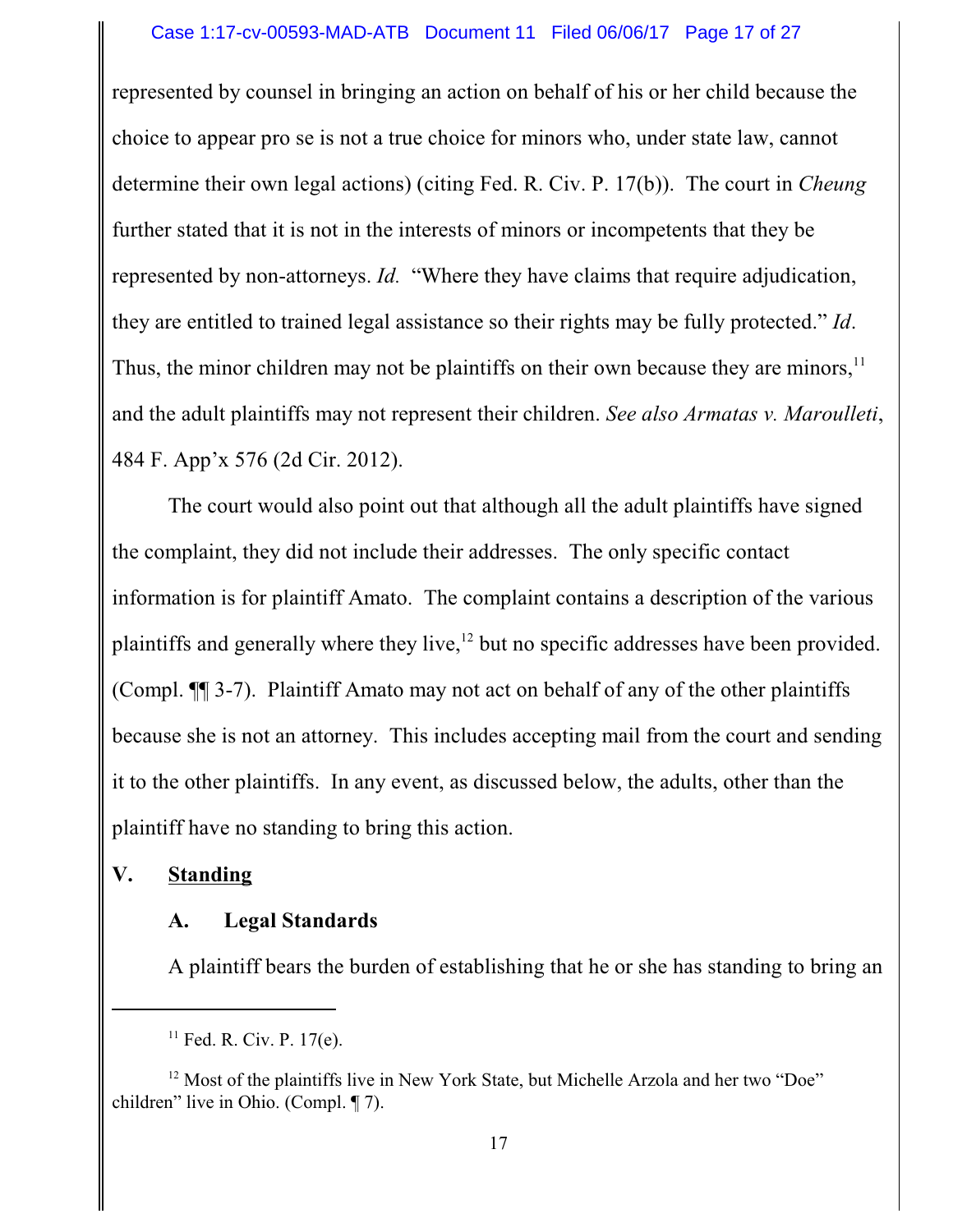#### Case 1:17-cv-00593-MAD-ATB Document 11 Filed 06/06/17 Page 17 of 27

represented by counsel in bringing an action on behalf of his or her child because the choice to appear pro se is not a true choice for minors who, under state law, cannot determine their own legal actions) (citing Fed. R. Civ. P. 17(b)). The court in *Cheung* further stated that it is not in the interests of minors or incompetents that they be represented by non-attorneys. *Id.* "Where they have claims that require adjudication, they are entitled to trained legal assistance so their rights may be fully protected." *Id*. Thus, the minor children may not be plaintiffs on their own because they are minors,<sup>11</sup> and the adult plaintiffs may not represent their children. *See also Armatas v. Maroulleti*, 484 F. App'x 576 (2d Cir. 2012).

The court would also point out that although all the adult plaintiffs have signed the complaint, they did not include their addresses. The only specific contact information is for plaintiff Amato. The complaint contains a description of the various plaintiffs and generally where they live,<sup>12</sup> but no specific addresses have been provided. (Compl. ¶¶ 3-7). Plaintiff Amato may not act on behalf of any of the other plaintiffs because she is not an attorney. This includes accepting mail from the court and sending it to the other plaintiffs. In any event, as discussed below, the adults, other than the plaintiff have no standing to bring this action.

### **V. Standing**

#### **A. Legal Standards**

A plaintiff bears the burden of establishing that he or she has standing to bring an

 $11$  Fed. R. Civ. P. 17(e).

<sup>&</sup>lt;sup>12</sup> Most of the plaintiffs live in New York State, but Michelle Arzola and her two "Doe" children" live in Ohio. (Compl. ¶ 7).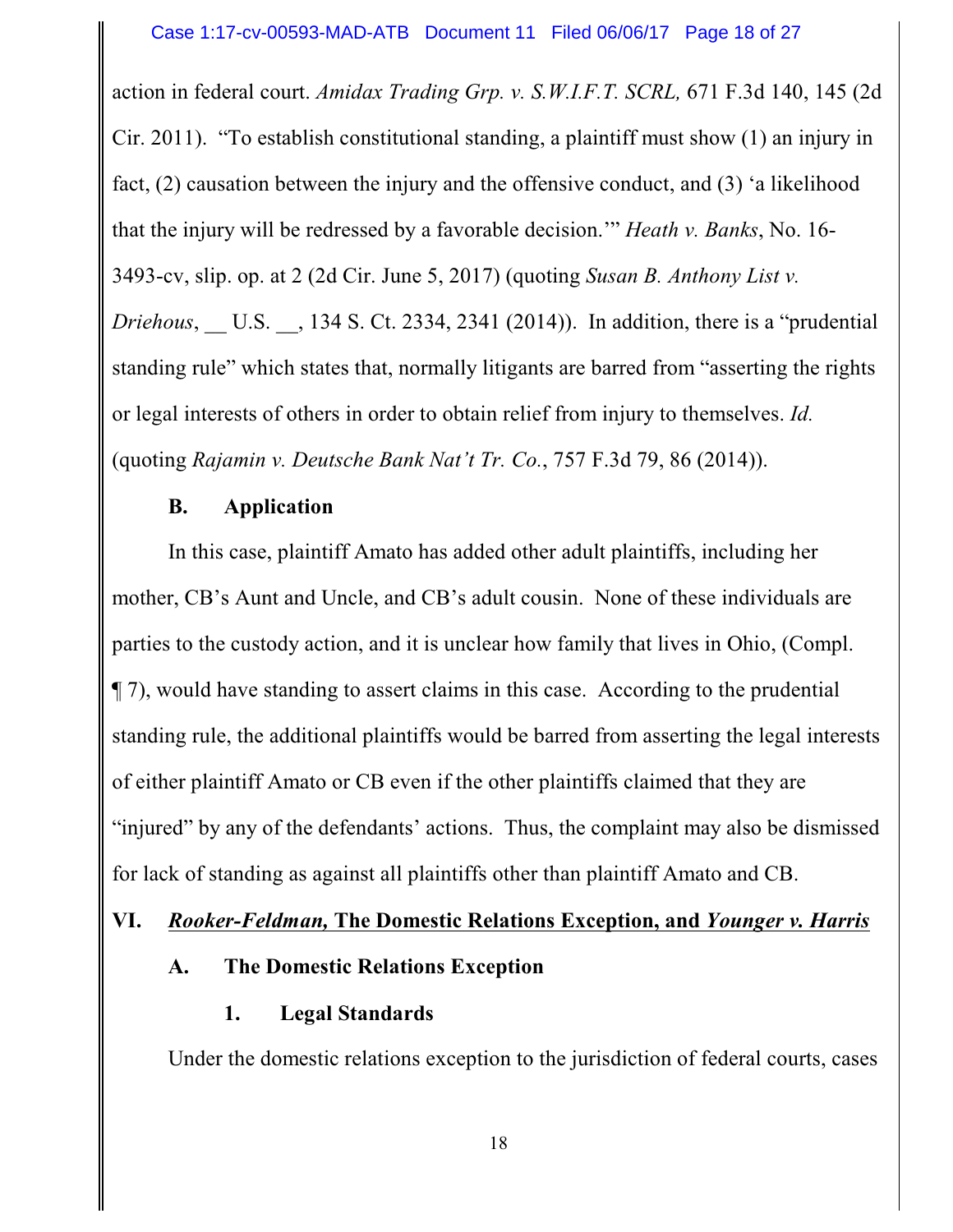action in federal court. *Amidax Trading Grp. v. S.W.I.F.T. SCRL,* 671 F.3d 140, 145 (2d Cir. 2011). "To establish constitutional standing, a plaintiff must show (1) an injury in fact, (2) causation between the injury and the offensive conduct, and (3) 'a likelihood that the injury will be redressed by a favorable decision.'" *Heath v. Banks*, No. 16- 3493-cv, slip. op. at 2 (2d Cir. June 5, 2017) (quoting *Susan B. Anthony List v. Driehous*, U.S. , 134 S. Ct. 2334, 2341 (2014)). In addition, there is a "prudential standing rule" which states that, normally litigants are barred from "asserting the rights or legal interests of others in order to obtain relief from injury to themselves. *Id.* (quoting *Rajamin v. Deutsche Bank Nat't Tr. Co.*, 757 F.3d 79, 86 (2014)).

## **B. Application**

In this case, plaintiff Amato has added other adult plaintiffs, including her mother, CB's Aunt and Uncle, and CB's adult cousin. None of these individuals are parties to the custody action, and it is unclear how family that lives in Ohio, (Compl. ¶ 7), would have standing to assert claims in this case. According to the prudential standing rule, the additional plaintiffs would be barred from asserting the legal interests of either plaintiff Amato or CB even if the other plaintiffs claimed that they are "injured" by any of the defendants' actions. Thus, the complaint may also be dismissed for lack of standing as against all plaintiffs other than plaintiff Amato and CB.

### **VI.** *Rooker-Feldman,* **The Domestic Relations Exception, and** *Younger v. Harris*

### **A. The Domestic Relations Exception**

### **1. Legal Standards**

Under the domestic relations exception to the jurisdiction of federal courts, cases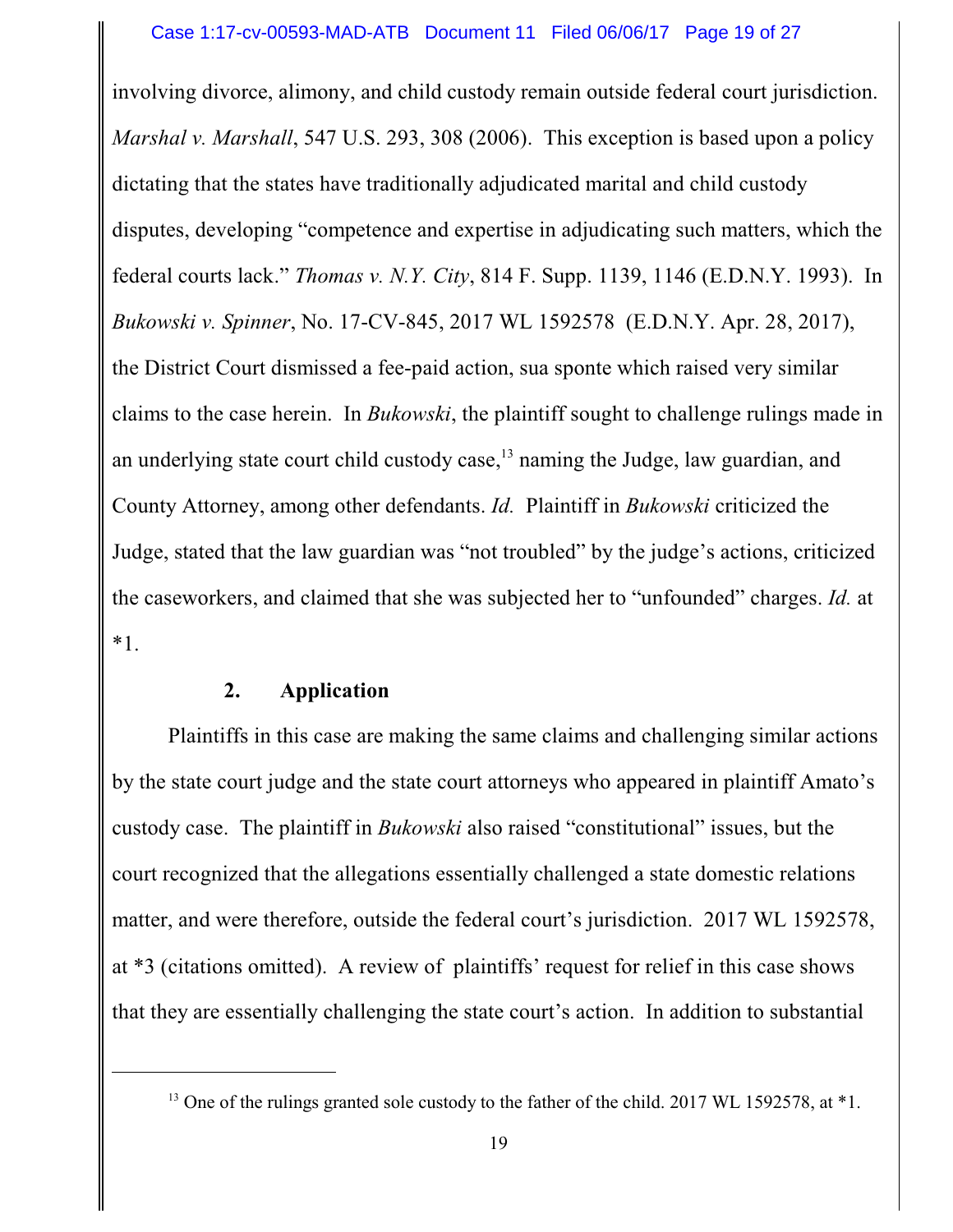involving divorce, alimony, and child custody remain outside federal court jurisdiction. *Marshal v. Marshall*, 547 U.S. 293, 308 (2006). This exception is based upon a policy dictating that the states have traditionally adjudicated marital and child custody disputes, developing "competence and expertise in adjudicating such matters, which the federal courts lack." *Thomas v. N.Y. City*, 814 F. Supp. 1139, 1146 (E.D.N.Y. 1993). In *Bukowski v. Spinner*, No. 17-CV-845, 2017 WL 1592578 (E.D.N.Y. Apr. 28, 2017), the District Court dismissed a fee-paid action, sua sponte which raised very similar claims to the case herein. In *Bukowski*, the plaintiff sought to challenge rulings made in an underlying state court child custody case,<sup>13</sup> naming the Judge, law guardian, and County Attorney, among other defendants. *Id.* Plaintiff in *Bukowski* criticized the Judge, stated that the law guardian was "not troubled" by the judge's actions, criticized the caseworkers, and claimed that she was subjected her to "unfounded" charges. *Id.* at \*1.

### **2. Application**

Plaintiffs in this case are making the same claims and challenging similar actions by the state court judge and the state court attorneys who appeared in plaintiff Amato's custody case. The plaintiff in *Bukowski* also raised "constitutional" issues, but the court recognized that the allegations essentially challenged a state domestic relations matter, and were therefore, outside the federal court's jurisdiction. 2017 WL 1592578, at \*3 (citations omitted). A review of plaintiffs' request for relief in this case shows that they are essentially challenging the state court's action. In addition to substantial

 $13$  One of the rulings granted sole custody to the father of the child. 2017 WL 1592578, at  $*1$ .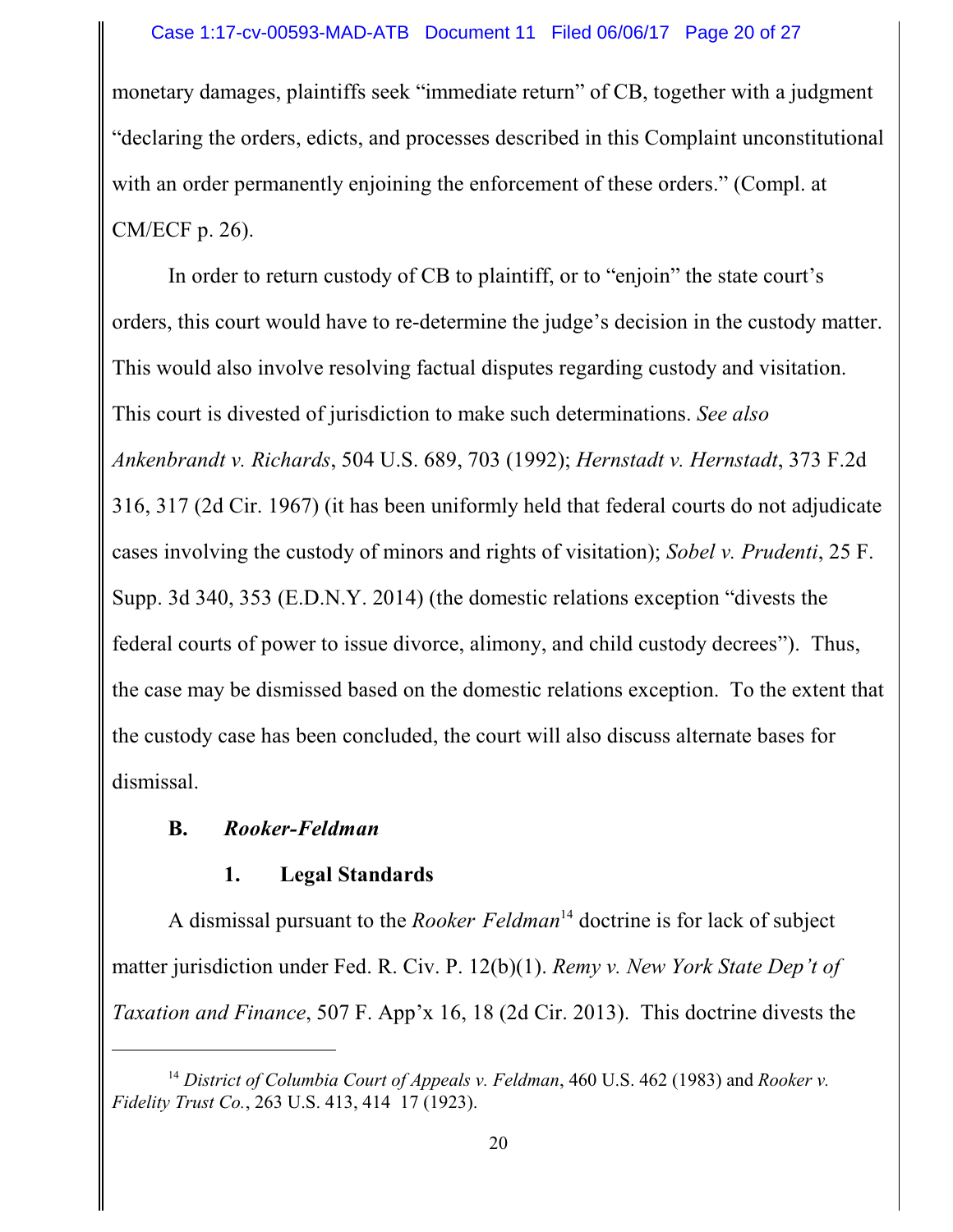#### Case 1:17-cv-00593-MAD-ATB Document 11 Filed 06/06/17 Page 20 of 27

monetary damages, plaintiffs seek "immediate return" of CB, together with a judgment "declaring the orders, edicts, and processes described in this Complaint unconstitutional with an order permanently enjoining the enforcement of these orders." (Compl. at CM/ECF p. 26).

In order to return custody of CB to plaintiff, or to "enjoin" the state court's orders, this court would have to re-determine the judge's decision in the custody matter. This would also involve resolving factual disputes regarding custody and visitation. This court is divested of jurisdiction to make such determinations. *See also Ankenbrandt v. Richards*, 504 U.S. 689, 703 (1992); *Hernstadt v. Hernstadt*, 373 F.2d 316, 317 (2d Cir. 1967) (it has been uniformly held that federal courts do not adjudicate cases involving the custody of minors and rights of visitation); *Sobel v. Prudenti*, 25 F. Supp. 3d 340, 353 (E.D.N.Y. 2014) (the domestic relations exception "divests the federal courts of power to issue divorce, alimony, and child custody decrees"). Thus, the case may be dismissed based on the domestic relations exception. To the extent that the custody case has been concluded, the court will also discuss alternate bases for dismissal.

### **B.** *Rooker-Feldman*

### **1. Legal Standards**

A dismissal pursuant to the *Rooker Feldman*<sup>14</sup> doctrine is for lack of subject matter jurisdiction under Fed. R. Civ. P. 12(b)(1). *Remy v. New York State Dep't of Taxation and Finance*, 507 F. App'x 16, 18 (2d Cir. 2013). This doctrine divests the

<sup>14</sup> *District of Columbia Court of Appeals v. Feldman*, 460 U.S. 462 (1983) and *Rooker v. Fidelity Trust Co.*, 263 U.S. 413, 414 17 (1923).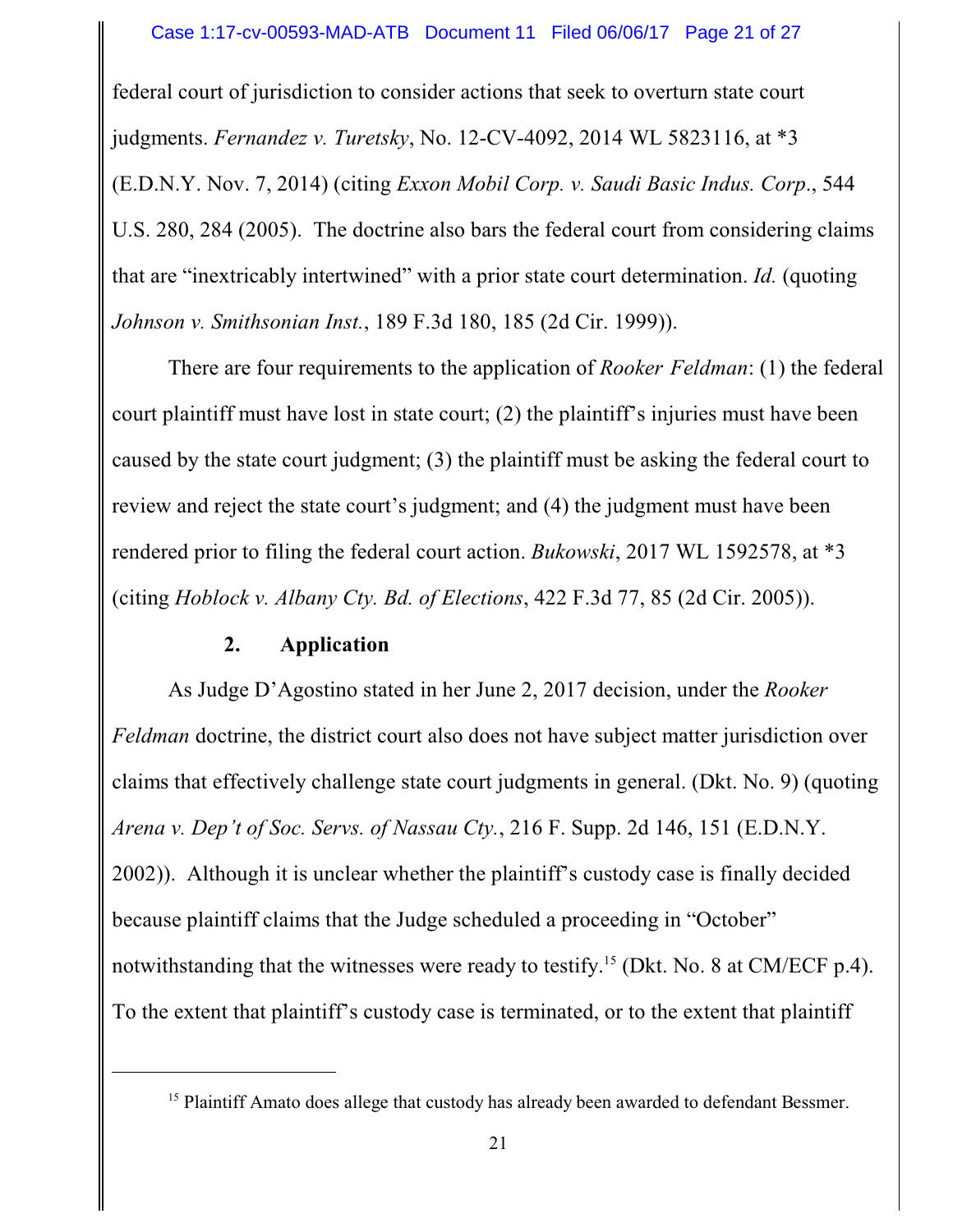federal court of jurisdiction to consider actions that seek to overturn state court judgments. *Fernandez v. Turetsky*, No. 12-CV-4092, 2014 WL 5823116, at \*3 (E.D.N.Y. Nov. 7, 2014) (citing *Exxon Mobil Corp. v. Saudi Basic Indus. Corp*., 544 U.S. 280, 284 (2005). The doctrine also bars the federal court from considering claims that are "inextricably intertwined" with a prior state court determination. *Id.* (quoting *Johnson v. Smithsonian Inst.*, 189 F.3d 180, 185 (2d Cir. 1999)).

There are four requirements to the application of *Rooker Feldman*: (1) the federal court plaintiff must have lost in state court; (2) the plaintiff's injuries must have been caused by the state court judgment; (3) the plaintiff must be asking the federal court to review and reject the state court's judgment; and (4) the judgment must have been rendered prior to filing the federal court action. *Bukowski*, 2017 WL 1592578, at \*3 (citing *Hoblock v. Albany Cty. Bd. of Elections*, 422 F.3d 77, 85 (2d Cir. 2005)).

### **2. Application**

As Judge D'Agostino stated in her June 2, 2017 decision, under the *Rooker Feldman* doctrine, the district court also does not have subject matter jurisdiction over claims that effectively challenge state court judgments in general. (Dkt. No. 9) (quoting *Arena v. Dep't of Soc. Servs. of Nassau Cty.*, 216 F. Supp. 2d 146, 151 (E.D.N.Y. 2002)). Although it is unclear whether the plaintiff's custody case is finally decided because plaintiff claims that the Judge scheduled a proceeding in "October" notwithstanding that the witnesses were ready to testify.<sup>15</sup> (Dkt. No. 8 at CM/ECF p.4). To the extent that plaintiff's custody case is terminated, or to the extent that plaintiff

<sup>&</sup>lt;sup>15</sup> Plaintiff Amato does allege that custody has already been awarded to defendant Bessmer.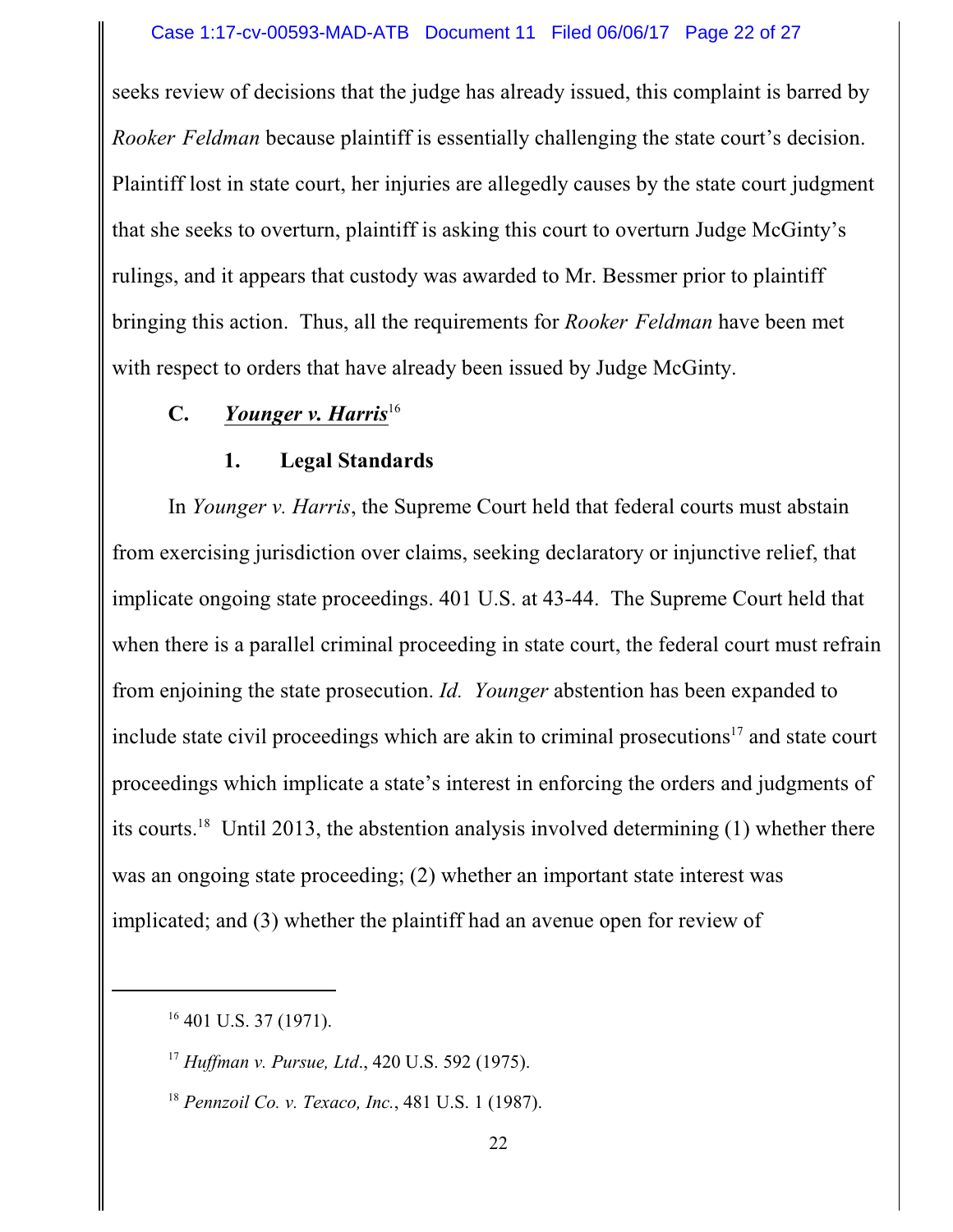seeks review of decisions that the judge has already issued, this complaint is barred by *Rooker Feldman* because plaintiff is essentially challenging the state court's decision. Plaintiff lost in state court, her injuries are allegedly causes by the state court judgment that she seeks to overturn, plaintiff is asking this court to overturn Judge McGinty's rulings, and it appears that custody was awarded to Mr. Bessmer prior to plaintiff bringing this action. Thus, all the requirements for *Rooker Feldman* have been met with respect to orders that have already been issued by Judge McGinty.

## **C.** *Younger v. Harris*<sup>16</sup>

#### **1. Legal Standards**

In *Younger v. Harris*, the Supreme Court held that federal courts must abstain from exercising jurisdiction over claims, seeking declaratory or injunctive relief, that implicate ongoing state proceedings. 401 U.S. at 43-44. The Supreme Court held that when there is a parallel criminal proceeding in state court, the federal court must refrain from enjoining the state prosecution. *Id. Younger* abstention has been expanded to include state civil proceedings which are akin to criminal prosecutions<sup>17</sup> and state court proceedings which implicate a state's interest in enforcing the orders and judgments of its courts.<sup>18</sup> Until 2013, the abstention analysis involved determining (1) whether there was an ongoing state proceeding; (2) whether an important state interest was implicated; and (3) whether the plaintiff had an avenue open for review of

<sup>18</sup> *Pennzoil Co. v. Texaco, Inc.*, 481 U.S. 1 (1987).

 $16$  401 U.S. 37 (1971).

<sup>17</sup> *Huffman v. Pursue, Ltd*., 420 U.S. 592 (1975).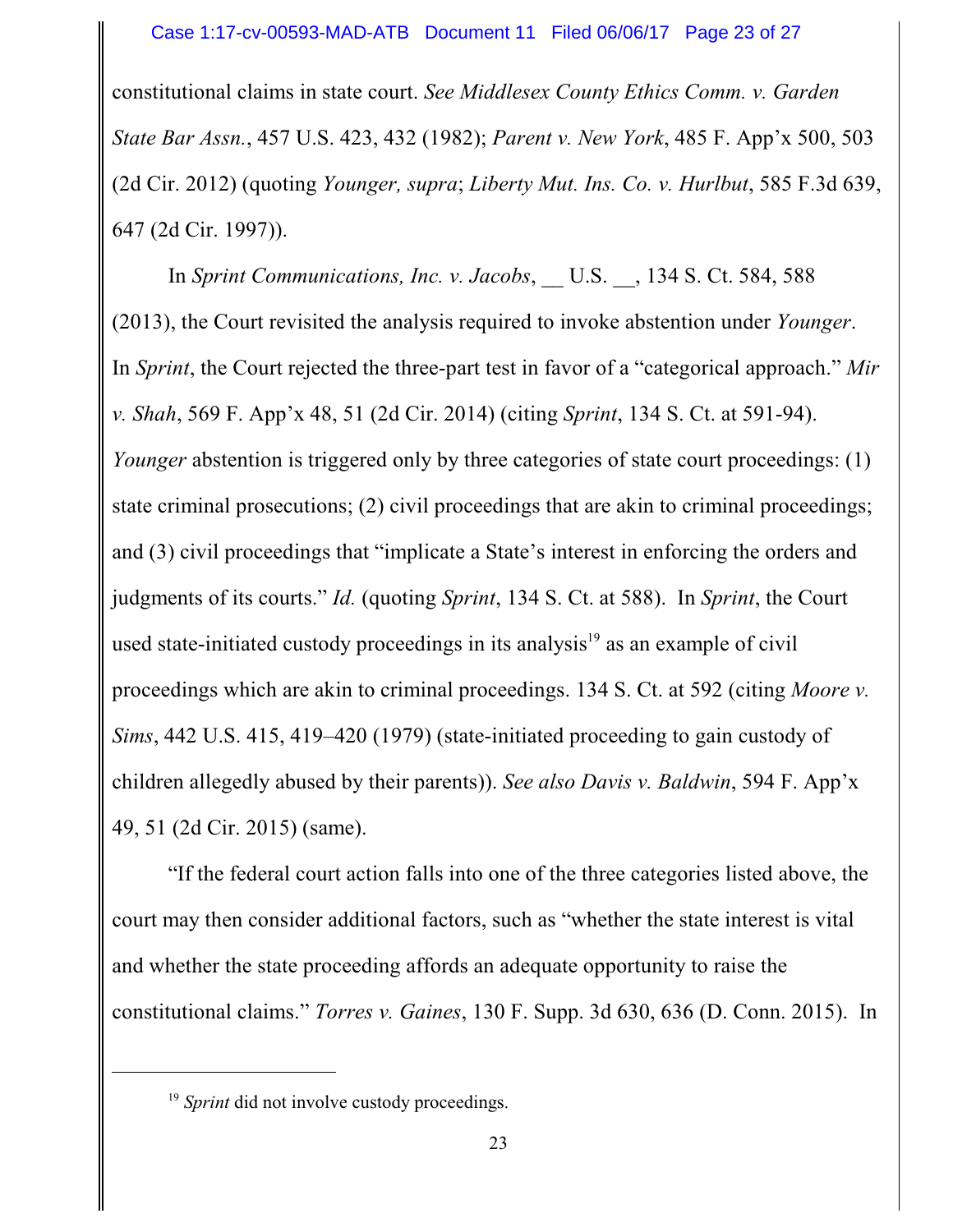#### Case 1:17-cv-00593-MAD-ATB Document 11 Filed 06/06/17 Page 23 of 27

constitutional claims in state court. *See Middlesex County Ethics Comm. v. Garden State Bar Assn.*, 457 U.S. 423, 432 (1982); *Parent v. New York*, 485 F. App'x 500, 503 (2d Cir. 2012) (quoting *Younger, supra*; *Liberty Mut. Ins. Co. v. Hurlbut*, 585 F.3d 639, 647 (2d Cir. 1997)).

In *Sprint Communications, Inc. v. Jacobs*, \_\_ U.S. \_\_, 134 S. Ct. 584, 588 (2013), the Court revisited the analysis required to invoke abstention under *Younger*. In *Sprint*, the Court rejected the three-part test in favor of a "categorical approach." *Mir v. Shah*, 569 F. App'x 48, 51 (2d Cir. 2014) (citing *Sprint*, 134 S. Ct. at 591-94). *Younger* abstention is triggered only by three categories of state court proceedings: (1) state criminal prosecutions; (2) civil proceedings that are akin to criminal proceedings; and (3) civil proceedings that "implicate a State's interest in enforcing the orders and judgments of its courts." *Id.* (quoting *Sprint*, 134 S. Ct. at 588). In *Sprint*, the Court used state-initiated custody proceedings in its analysis<sup>19</sup> as an example of civil proceedings which are akin to criminal proceedings. 134 S. Ct. at 592 (citing *Moore v. Sims*, 442 U.S. 415, 419–420 (1979) (state-initiated proceeding to gain custody of children allegedly abused by their parents)). *See also Davis v. Baldwin*, 594 F. App'x 49, 51 (2d Cir. 2015) (same).

"If the federal court action falls into one of the three categories listed above, the court may then consider additional factors, such as "whether the state interest is vital and whether the state proceeding affords an adequate opportunity to raise the constitutional claims." *Torres v. Gaines*, 130 F. Supp. 3d 630, 636 (D. Conn. 2015). In

<sup>&</sup>lt;sup>19</sup> Sprint did not involve custody proceedings.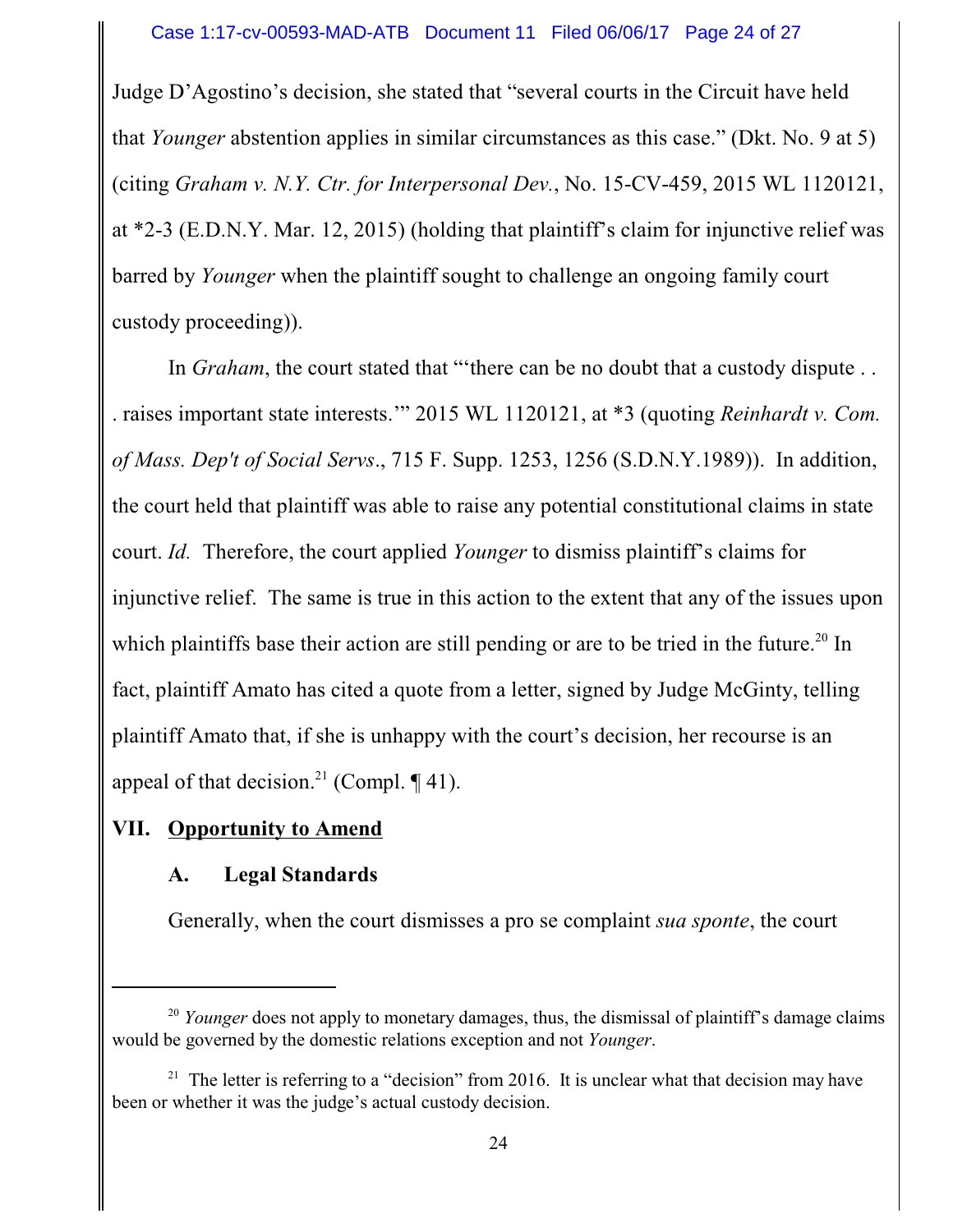Judge D'Agostino's decision, she stated that "several courts in the Circuit have held that *Younger* abstention applies in similar circumstances as this case." (Dkt. No. 9 at 5) (citing *Graham v. N.Y. Ctr. for Interpersonal Dev.*, No. 15-CV-459, 2015 WL 1120121, at \*2-3 (E.D.N.Y. Mar. 12, 2015) (holding that plaintiff's claim for injunctive relief was barred by *Younger* when the plaintiff sought to challenge an ongoing family court custody proceeding)).

In *Graham*, the court stated that "there can be no doubt that a custody dispute . . . raises important state interests.'" 2015 WL 1120121, at \*3 (quoting *Reinhardt v. Com. of Mass. Dep't of Social Servs*., 715 F. Supp. 1253, 1256 (S.D.N.Y.1989)). In addition, the court held that plaintiff was able to raise any potential constitutional claims in state court. *Id.* Therefore, the court applied *Younger* to dismiss plaintiff's claims for injunctive relief. The same is true in this action to the extent that any of the issues upon which plaintiffs base their action are still pending or are to be tried in the future.<sup>20</sup> In fact, plaintiff Amato has cited a quote from a letter, signed by Judge McGinty, telling plaintiff Amato that, if she is unhappy with the court's decision, her recourse is an appeal of that decision.<sup>21</sup> (Compl.  $\P$  41).

## **VII. Opportunity to Amend**

## **A. Legal Standards**

Generally, when the court dismisses a pro se complaint *sua sponte*, the court

<sup>&</sup>lt;sup>20</sup> *Younger* does not apply to monetary damages, thus, the dismissal of plaintiff's damage claims would be governed by the domestic relations exception and not *Younger*.

<sup>&</sup>lt;sup>21</sup> The letter is referring to a "decision" from 2016. It is unclear what that decision may have been or whether it was the judge's actual custody decision.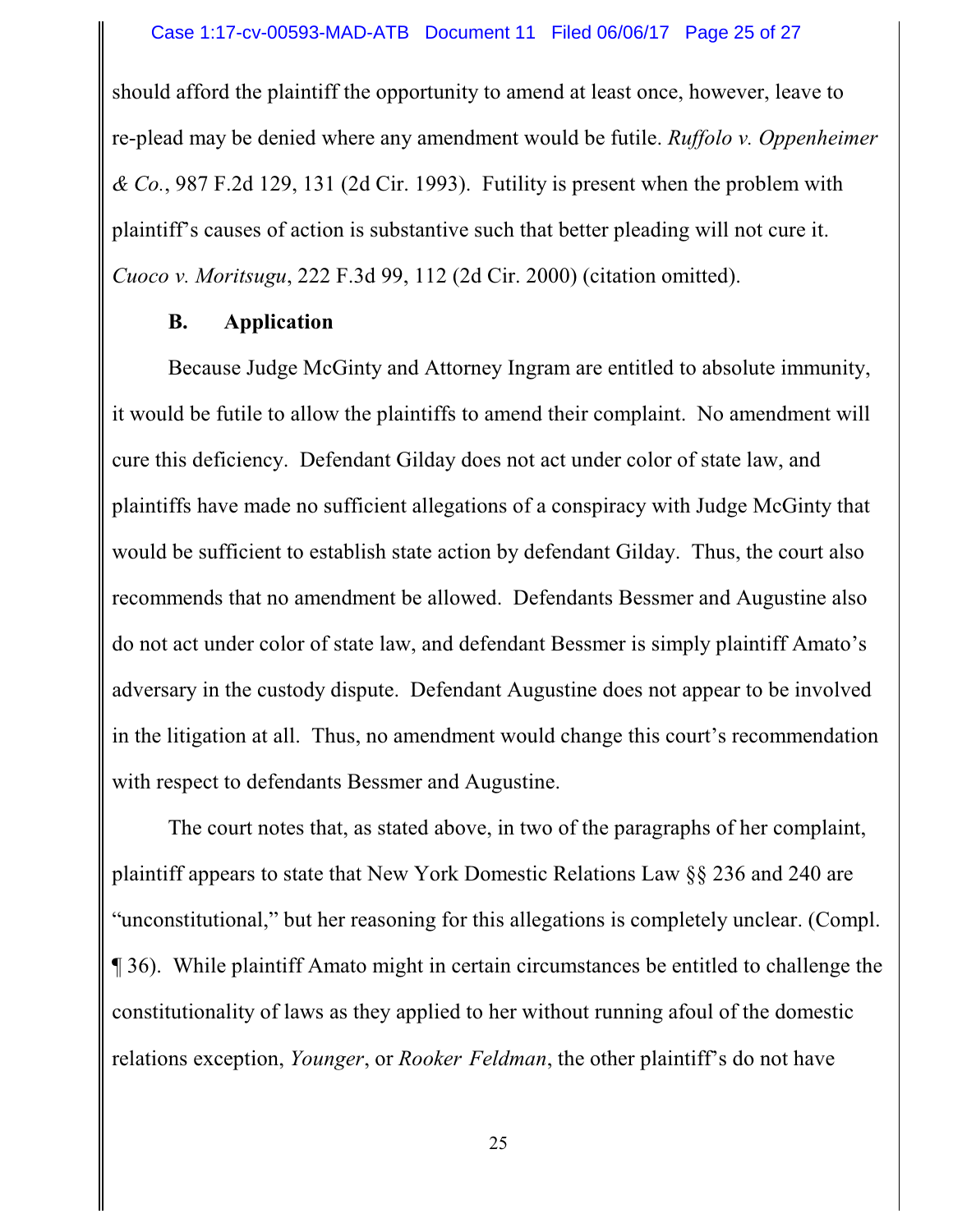should afford the plaintiff the opportunity to amend at least once, however, leave to re-plead may be denied where any amendment would be futile. *Ruffolo v. Oppenheimer & Co.*, 987 F.2d 129, 131 (2d Cir. 1993). Futility is present when the problem with plaintiff's causes of action is substantive such that better pleading will not cure it. *Cuoco v. Moritsugu*, 222 F.3d 99, 112 (2d Cir. 2000) (citation omitted).

## **B. Application**

Because Judge McGinty and Attorney Ingram are entitled to absolute immunity, it would be futile to allow the plaintiffs to amend their complaint. No amendment will cure this deficiency. Defendant Gilday does not act under color of state law, and plaintiffs have made no sufficient allegations of a conspiracy with Judge McGinty that would be sufficient to establish state action by defendant Gilday. Thus, the court also recommends that no amendment be allowed. Defendants Bessmer and Augustine also do not act under color of state law, and defendant Bessmer is simply plaintiff Amato's adversary in the custody dispute. Defendant Augustine does not appear to be involved in the litigation at all. Thus, no amendment would change this court's recommendation with respect to defendants Bessmer and Augustine.

The court notes that, as stated above, in two of the paragraphs of her complaint, plaintiff appears to state that New York Domestic Relations Law §§ 236 and 240 are "unconstitutional," but her reasoning for this allegations is completely unclear. (Compl. ¶ 36). While plaintiff Amato might in certain circumstances be entitled to challenge the constitutionality of laws as they applied to her without running afoul of the domestic relations exception, *Younger*, or *Rooker Feldman*, the other plaintiff's do not have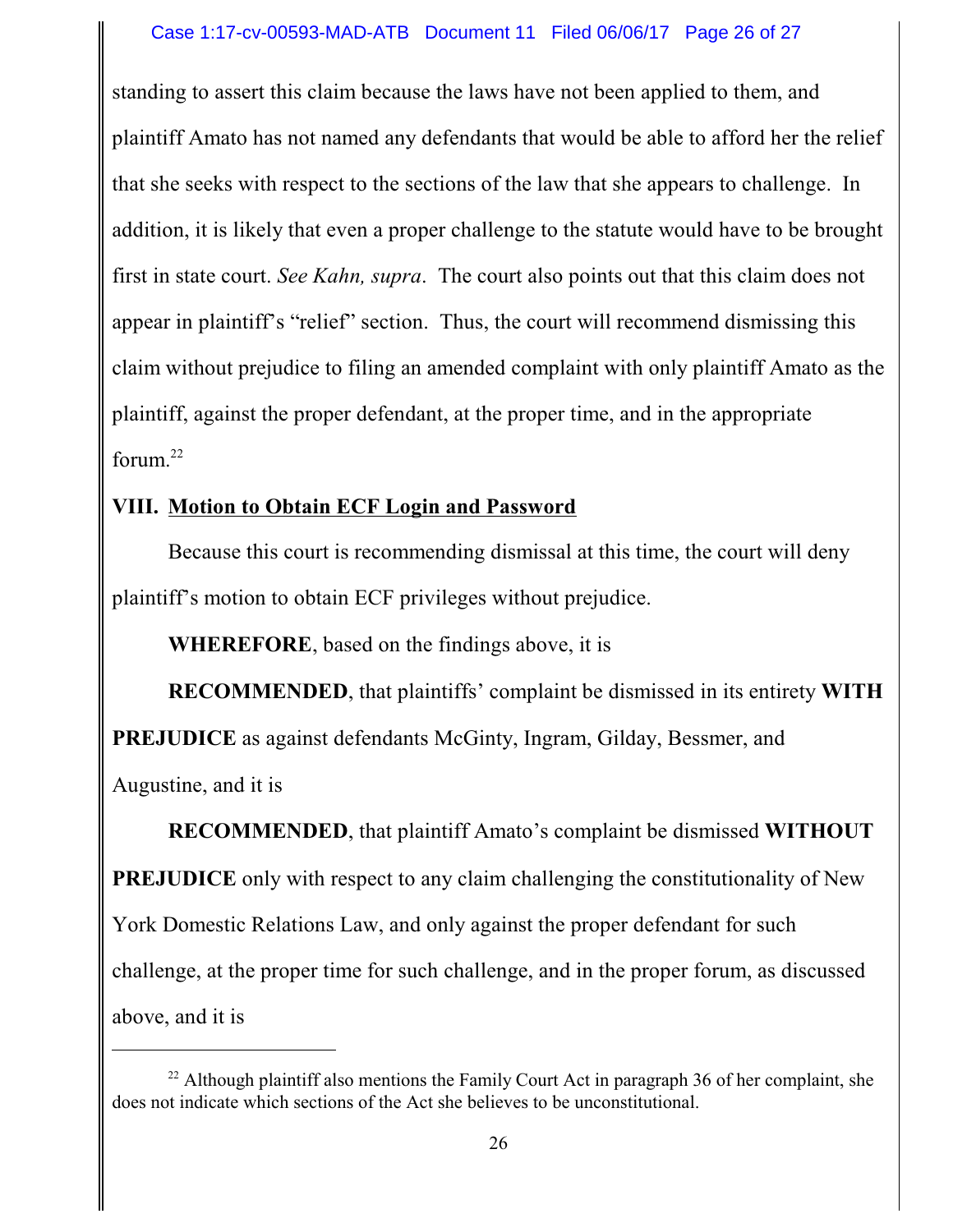standing to assert this claim because the laws have not been applied to them, and plaintiff Amato has not named any defendants that would be able to afford her the relief that she seeks with respect to the sections of the law that she appears to challenge. In addition, it is likely that even a proper challenge to the statute would have to be brought first in state court. *See Kahn, supra*. The court also points out that this claim does not appear in plaintiff's "relief" section. Thus, the court will recommend dismissing this claim without prejudice to filing an amended complaint with only plaintiff Amato as the plaintiff, against the proper defendant, at the proper time, and in the appropriate forum. 22

# **VIII. Motion to Obtain ECF Login and Password**

Because this court is recommending dismissal at this time, the court will deny plaintiff's motion to obtain ECF privileges without prejudice.

**WHEREFORE**, based on the findings above, it is

**RECOMMENDED**, that plaintiffs' complaint be dismissed in its entirety **WITH**

**PREJUDICE** as against defendants McGinty, Ingram, Gilday, Bessmer, and

Augustine, and it is

**RECOMMENDED**, that plaintiff Amato's complaint be dismissed **WITHOUT PREJUDICE** only with respect to any claim challenging the constitutionality of New York Domestic Relations Law, and only against the proper defendant for such challenge, at the proper time for such challenge, and in the proper forum, as discussed above, and it is

 $22$  Although plaintiff also mentions the Family Court Act in paragraph 36 of her complaint, she does not indicate which sections of the Act she believes to be unconstitutional.